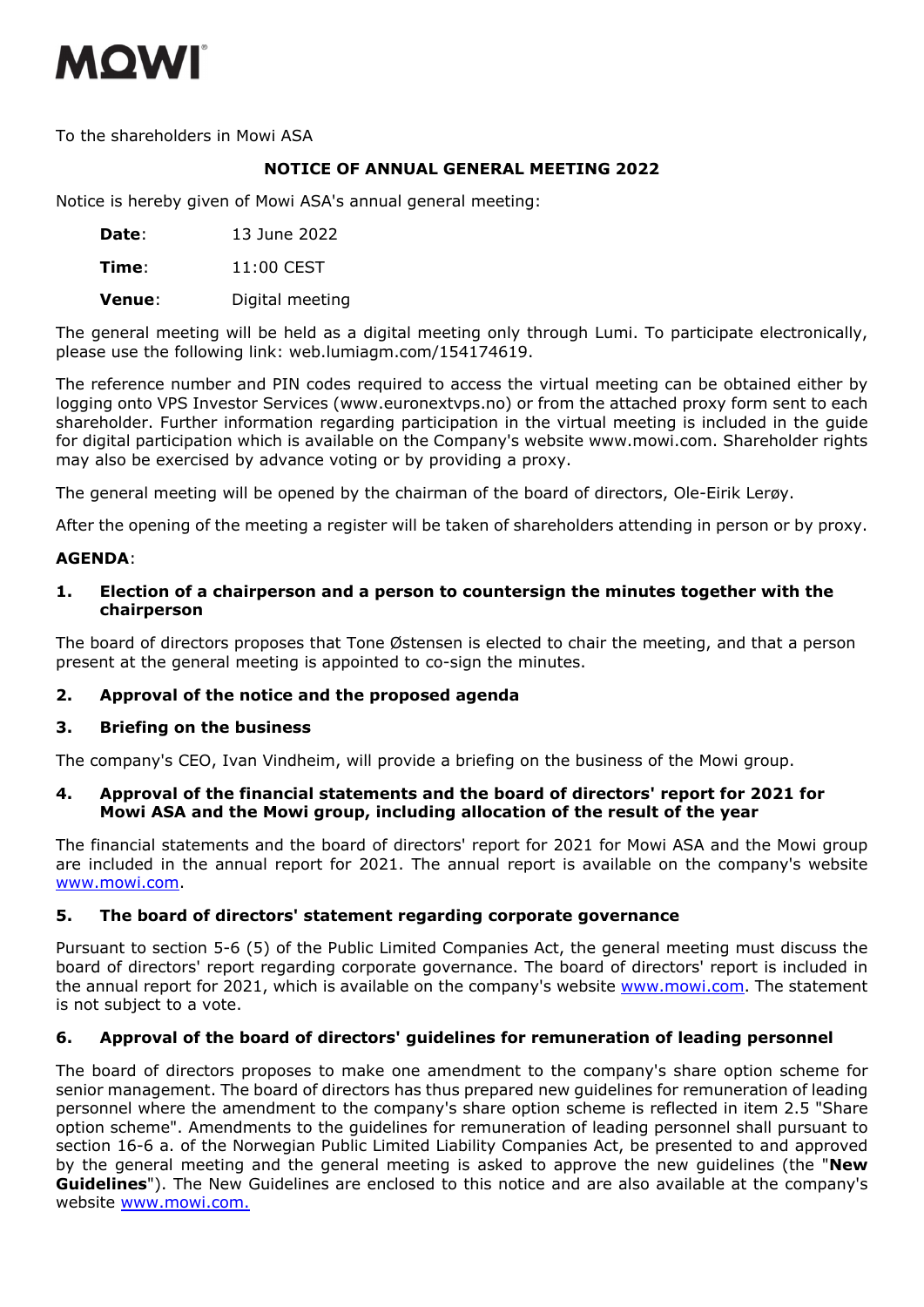

To the shareholders in Mowi ASA

# **NOTICE OF ANNUAL GENERAL MEETING 2022**

Notice is hereby given of Mowi ASA's annual general meeting:

**Date**: 13 June 2022

**Time**: 11:00 CEST

**Venue**: Digital meeting

The general meeting will be held as a digital meeting only through Lumi. To participate electronically, please use the following link: web.lumiagm.com/154174619.

The reference number and PIN codes required to access the virtual meeting can be obtained either by logging onto VPS Investor Services (www.euronextvps.no) or from the attached proxy form sent to each shareholder. Further information regarding participation in the virtual meeting is included in the guide for digital participation which is available on the Company's website www.mowi.com. Shareholder rights may also be exercised by advance voting or by providing a proxy.

The general meeting will be opened by the chairman of the board of directors, Ole-Eirik Lerøy.

After the opening of the meeting a register will be taken of shareholders attending in person or by proxy.

# **AGENDA**:

# **1. Election of a chairperson and a person to countersign the minutes together with the chairperson**

The board of directors proposes that Tone Østensen is elected to chair the meeting, and that a person present at the general meeting is appointed to co-sign the minutes.

## **2. Approval of the notice and the proposed agenda**

# **3. Briefing on the business**

The company's CEO, Ivan Vindheim, will provide a briefing on the business of the Mowi group.

## **4. Approval of the financial statements and the board of directors' report for 2021 for Mowi ASA and the Mowi group, including allocation of the result of the year**

The financial statements and the board of directors' report for 2021 for Mowi ASA and the Mowi group are included in the annual report for 2021. The annual report is available on the company's website www.mowi.com.

## **5. The board of directors' statement regarding corporate governance**

Pursuant to section 5-6 (5) of the Public Limited Companies Act, the general meeting must discuss the board of directors' report regarding corporate governance. The board of directors' report is included in the annual report for 2021, which is available on the company's website www.mowi.com. The statement is not subject to a vote.

# **6. Approval of the board of directors' guidelines for remuneration of leading personnel**

The board of directors proposes to make one amendment to the company's share option scheme for senior management. The board of directors has thus prepared new guidelines for remuneration of leading personnel where the amendment to the company's share option scheme is reflected in item 2.5 "Share option scheme". Amendments to the guidelines for remuneration of leading personnel shall pursuant to section 16-6 a. of the Norwegian Public Limited Liability Companies Act, be presented to and approved by the general meeting and the general meeting is asked to approve the new guidelines (the "**New Guidelines**"). The New Guidelines are enclosed to this notice and are also available at the company's website www.mowi.com.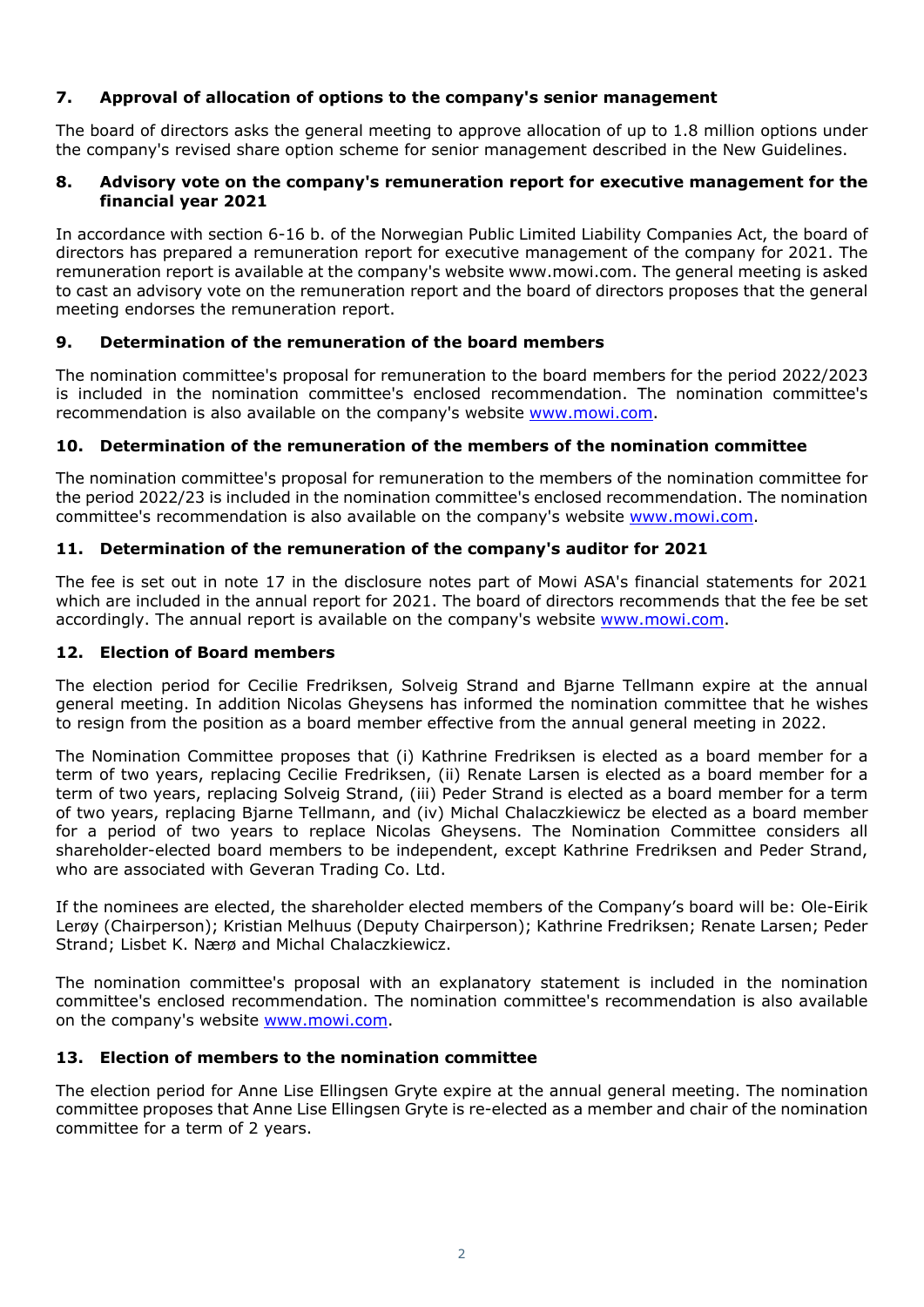# **7. Approval of allocation of options to the company's senior management**

The board of directors asks the general meeting to approve allocation of up to 1.8 million options under the company's revised share option scheme for senior management described in the New Guidelines.

# **8. Advisory vote on the company's remuneration report for executive management for the financial year 2021**

In accordance with section 6-16 b. of the Norwegian Public Limited Liability Companies Act, the board of directors has prepared a remuneration report for executive management of the company for 2021. The remuneration report is available at the company's website www.mowi.com. The general meeting is asked to cast an advisory vote on the remuneration report and the board of directors proposes that the general meeting endorses the remuneration report.

# **9. Determination of the remuneration of the board members**

The nomination committee's proposal for remuneration to the board members for the period 2022/2023 is included in the nomination committee's enclosed recommendation. The nomination committee's recommendation is also available on the company's website www.mowi.com.

# **10. Determination of the remuneration of the members of the nomination committee**

The nomination committee's proposal for remuneration to the members of the nomination committee for the period 2022/23 is included in the nomination committee's enclosed recommendation. The nomination committee's recommendation is also available on the company's website www.mowi.com.

# **11. Determination of the remuneration of the company's auditor for 2021**

The fee is set out in note 17 in the disclosure notes part of Mowi ASA's financial statements for 2021 which are included in the annual report for 2021. The board of directors recommends that the fee be set accordingly. The annual report is available on the company's website www.mowi.com.

## **12. Election of Board members**

The election period for Cecilie Fredriksen, Solveig Strand and Bjarne Tellmann expire at the annual general meeting. In addition Nicolas Gheysens has informed the nomination committee that he wishes to resign from the position as a board member effective from the annual general meeting in 2022.

The Nomination Committee proposes that (i) Kathrine Fredriksen is elected as a board member for a term of two years, replacing Cecilie Fredriksen, (ii) Renate Larsen is elected as a board member for a term of two years, replacing Solveig Strand, (iii) Peder Strand is elected as a board member for a term of two years, replacing Bjarne Tellmann, and (iv) Michal Chalaczkiewicz be elected as a board member for a period of two years to replace Nicolas Gheysens. The Nomination Committee considers all shareholder-elected board members to be independent, except Kathrine Fredriksen and Peder Strand, who are associated with Geveran Trading Co. Ltd.

If the nominees are elected, the shareholder elected members of the Company's board will be: Ole-Eirik Lerøy (Chairperson); Kristian Melhuus (Deputy Chairperson); Kathrine Fredriksen; Renate Larsen; Peder Strand; Lisbet K. Nærø and Michal Chalaczkiewicz.

The nomination committee's proposal with an explanatory statement is included in the nomination committee's enclosed recommendation. The nomination committee's recommendation is also available on the company's website www.mowi.com.

## **13. Election of members to the nomination committee**

The election period for Anne Lise Ellingsen Gryte expire at the annual general meeting. The nomination committee proposes that Anne Lise Ellingsen Gryte is re-elected as a member and chair of the nomination committee for a term of 2 years.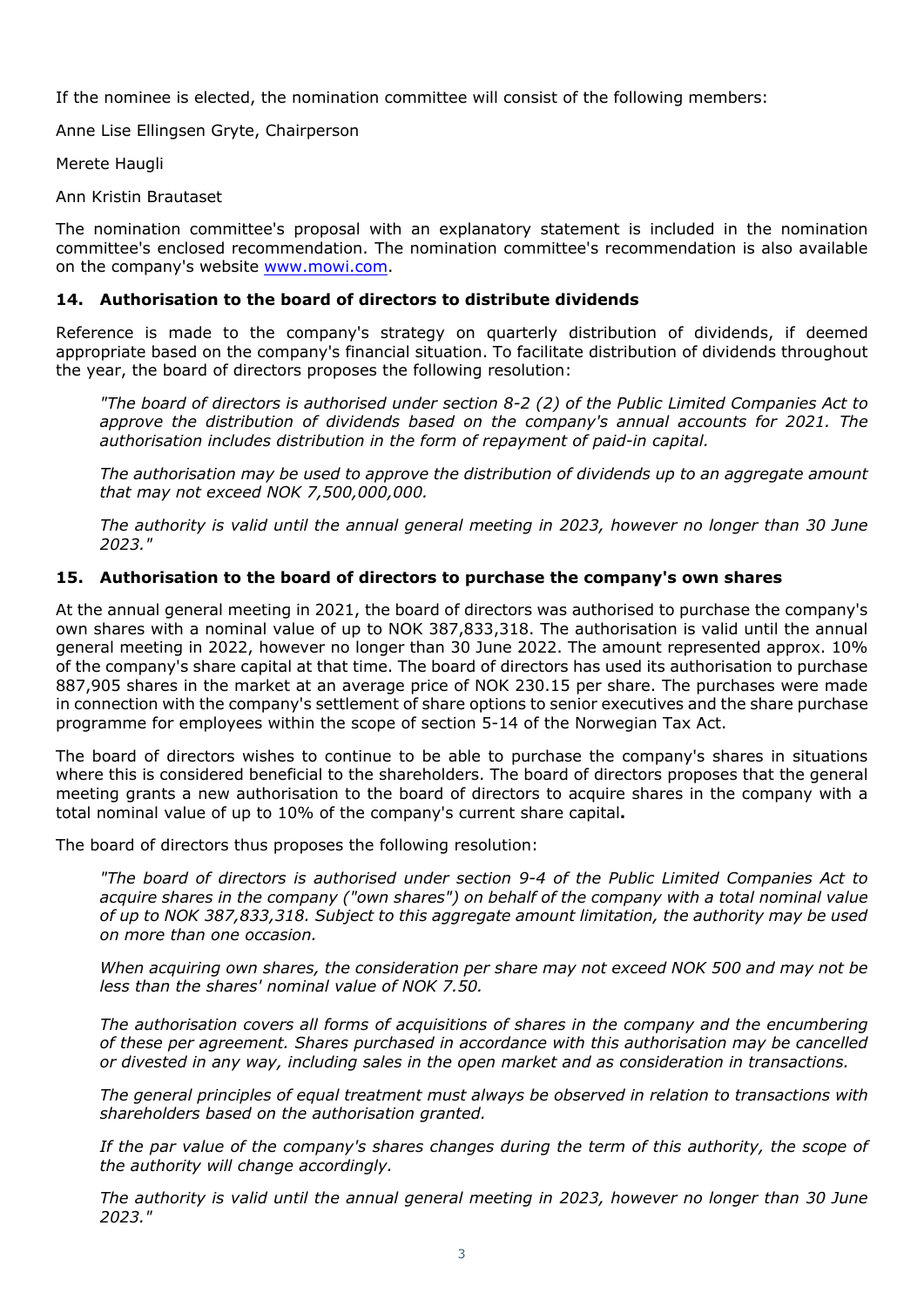If the nominee is elected, the nomination committee will consist of the following members:

Anne Lise Ellingsen Gryte, Chairperson

Merete Haugli

Ann Kristin Brautaset

The nomination committee's proposal with an explanatory statement is included in the nomination committee's enclosed recommendation. The nomination committee's recommendation is also available on the company's website www.mowi.com.

# **14. Authorisation to the board of directors to distribute dividends**

Reference is made to the company's strategy on quarterly distribution of dividends, if deemed appropriate based on the company's financial situation. To facilitate distribution of dividends throughout the year, the board of directors proposes the following resolution:

*"The board of directors is authorised under section 8-2 (2) of the Public Limited Companies Act to approve the distribution of dividends based on the company's annual accounts for 2021. The authorisation includes distribution in the form of repayment of paid-in capital.* 

*The authorisation may be used to approve the distribution of dividends up to an aggregate amount that may not exceed NOK 7,500,000,000.* 

*The authority is valid until the annual general meeting in 2023, however no longer than 30 June 2023."* 

# **15. Authorisation to the board of directors to purchase the company's own shares**

At the annual general meeting in 2021, the board of directors was authorised to purchase the company's own shares with a nominal value of up to NOK 387,833,318. The authorisation is valid until the annual general meeting in 2022, however no longer than 30 June 2022. The amount represented approx. 10% of the company's share capital at that time. The board of directors has used its authorisation to purchase 887,905 shares in the market at an average price of NOK 230.15 per share. The purchases were made in connection with the company's settlement of share options to senior executives and the share purchase programme for employees within the scope of section 5-14 of the Norwegian Tax Act.

The board of directors wishes to continue to be able to purchase the company's shares in situations where this is considered beneficial to the shareholders. The board of directors proposes that the general meeting grants a new authorisation to the board of directors to acquire shares in the company with a total nominal value of up to 10% of the company's current share capital**.**

The board of directors thus proposes the following resolution:

*"The board of directors is authorised under section 9-4 of the Public Limited Companies Act to acquire shares in the company ("own shares") on behalf of the company with a total nominal value of up to NOK 387,833,318. Subject to this aggregate amount limitation, the authority may be used on more than one occasion.* 

*When acquiring own shares, the consideration per share may not exceed NOK 500 and may not be less than the shares' nominal value of NOK 7.50.* 

*The authorisation covers all forms of acquisitions of shares in the company and the encumbering of these per agreement. Shares purchased in accordance with this authorisation may be cancelled or divested in any way, including sales in the open market and as consideration in transactions.* 

*The general principles of equal treatment must always be observed in relation to transactions with shareholders based on the authorisation granted.* 

*If the par value of the company's shares changes during the term of this authority, the scope of the authority will change accordingly.* 

*The authority is valid until the annual general meeting in 2023, however no longer than 30 June 2023."*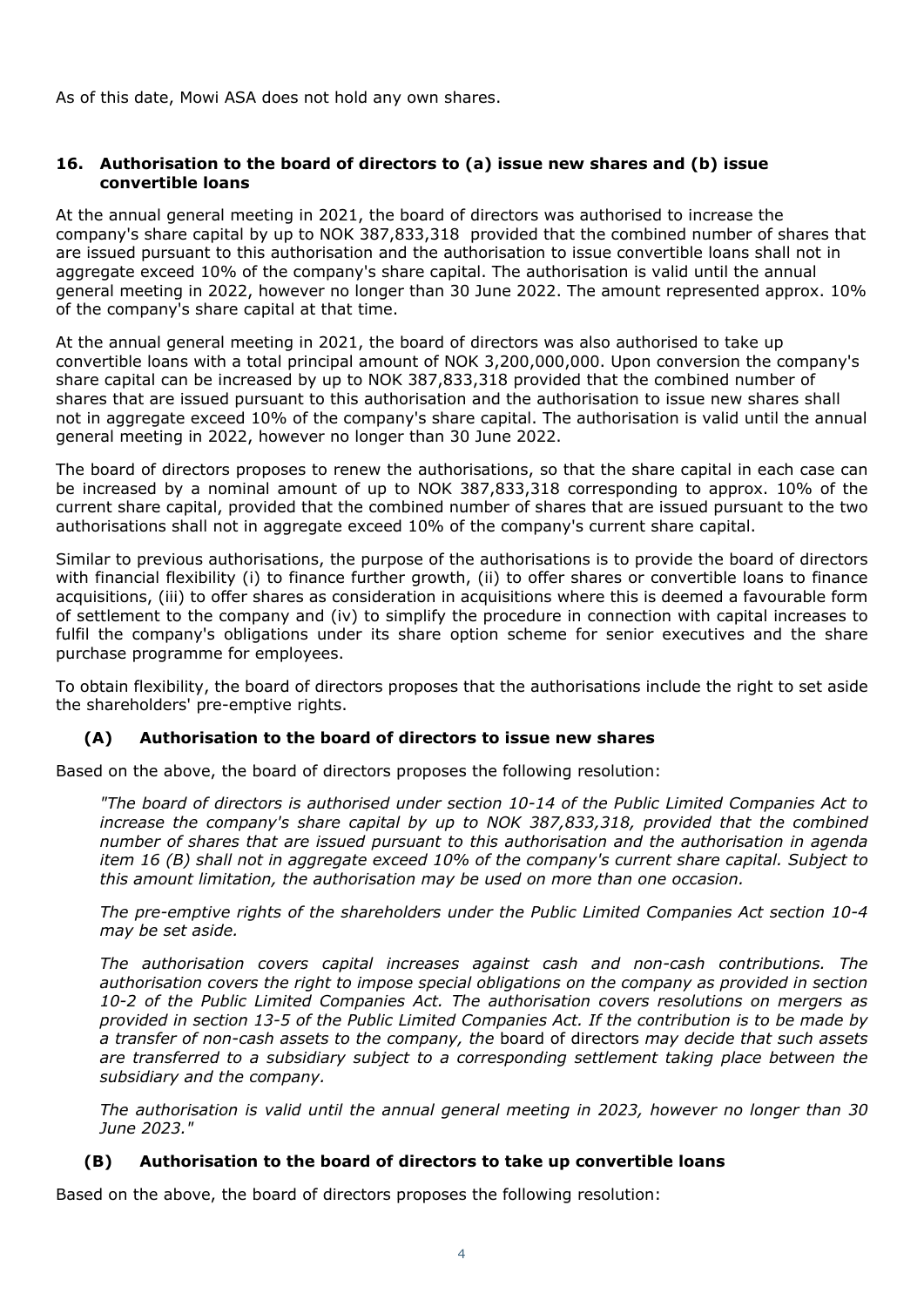As of this date, Mowi ASA does not hold any own shares.

# **16. Authorisation to the board of directors to (a) issue new shares and (b) issue convertible loans**

At the annual general meeting in 2021, the board of directors was authorised to increase the company's share capital by up to NOK 387,833,318 provided that the combined number of shares that are issued pursuant to this authorisation and the authorisation to issue convertible loans shall not in aggregate exceed 10% of the company's share capital. The authorisation is valid until the annual general meeting in 2022, however no longer than 30 June 2022. The amount represented approx. 10% of the company's share capital at that time.

At the annual general meeting in 2021, the board of directors was also authorised to take up convertible loans with a total principal amount of NOK 3,200,000,000. Upon conversion the company's share capital can be increased by up to NOK 387,833,318 provided that the combined number of shares that are issued pursuant to this authorisation and the authorisation to issue new shares shall not in aggregate exceed 10% of the company's share capital. The authorisation is valid until the annual general meeting in 2022, however no longer than 30 June 2022.

The board of directors proposes to renew the authorisations, so that the share capital in each case can be increased by a nominal amount of up to NOK 387,833,318 corresponding to approx. 10% of the current share capital, provided that the combined number of shares that are issued pursuant to the two authorisations shall not in aggregate exceed 10% of the company's current share capital.

Similar to previous authorisations, the purpose of the authorisations is to provide the board of directors with financial flexibility (i) to finance further growth, (ii) to offer shares or convertible loans to finance acquisitions, (iii) to offer shares as consideration in acquisitions where this is deemed a favourable form of settlement to the company and (iv) to simplify the procedure in connection with capital increases to fulfil the company's obligations under its share option scheme for senior executives and the share purchase programme for employees.

To obtain flexibility, the board of directors proposes that the authorisations include the right to set aside the shareholders' pre-emptive rights.

# **(A) Authorisation to the board of directors to issue new shares**

Based on the above, the board of directors proposes the following resolution:

*"The board of directors is authorised under section 10-14 of the Public Limited Companies Act to increase the company's share capital by up to NOK 387,833,318, provided that the combined number of shares that are issued pursuant to this authorisation and the authorisation in agenda item 16 (B) shall not in aggregate exceed 10% of the company's current share capital. Subject to this amount limitation, the authorisation may be used on more than one occasion.* 

*The pre-emptive rights of the shareholders under the Public Limited Companies Act section 10-4 may be set aside.* 

*The authorisation covers capital increases against cash and non-cash contributions. The authorisation covers the right to impose special obligations on the company as provided in section 10-2 of the Public Limited Companies Act. The authorisation covers resolutions on mergers as provided in section 13-5 of the Public Limited Companies Act. If the contribution is to be made by a transfer of non-cash assets to the company, the* board of directors *may decide that such assets are transferred to a subsidiary subject to a corresponding settlement taking place between the subsidiary and the company.* 

*The authorisation is valid until the annual general meeting in 2023, however no longer than 30 June 2023."* 

# **(B) Authorisation to the board of directors to take up convertible loans**

Based on the above, the board of directors proposes the following resolution: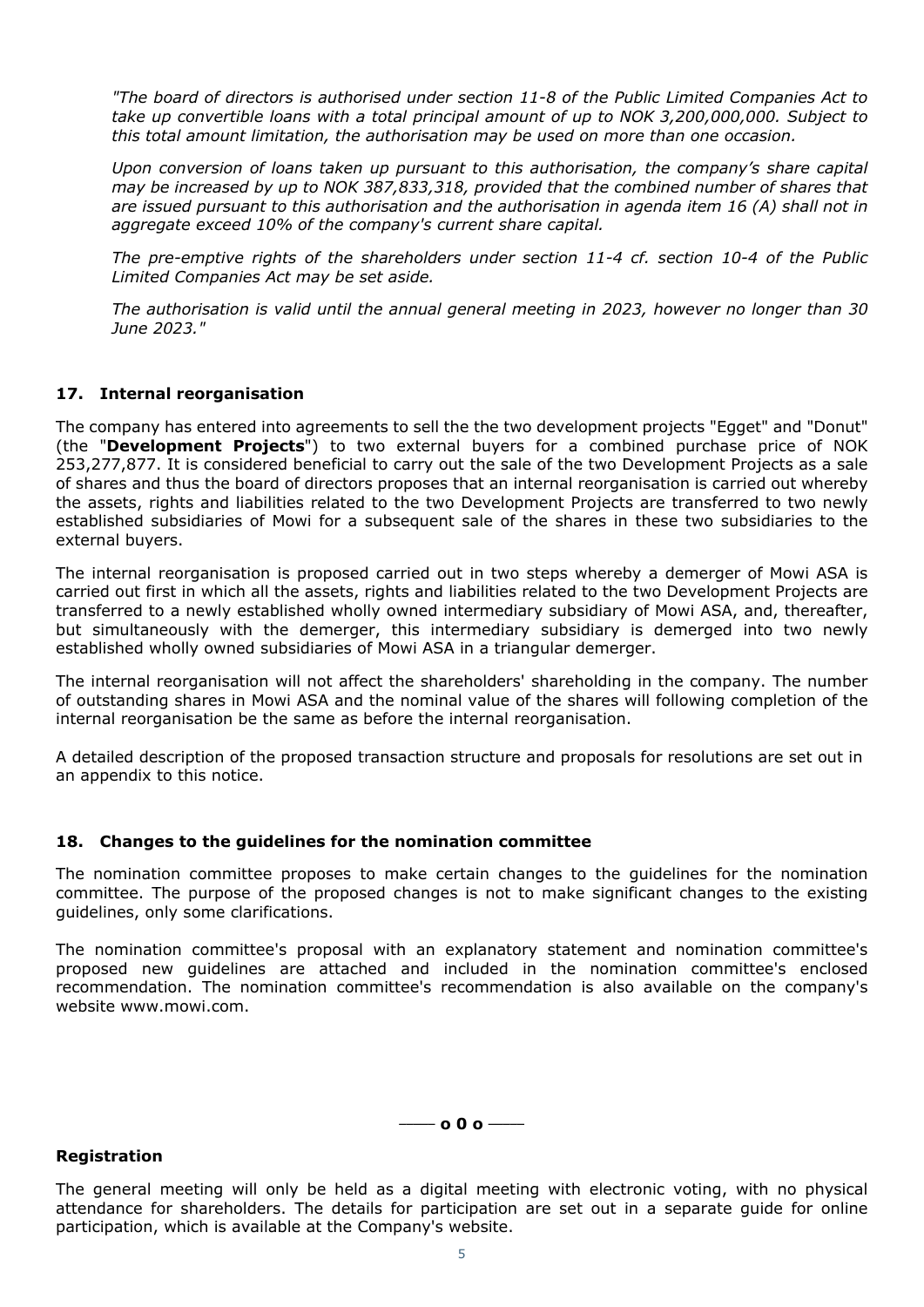*"The board of directors is authorised under section 11-8 of the Public Limited Companies Act to take up convertible loans with a total principal amount of up to NOK 3,200,000,000. Subject to this total amount limitation, the authorisation may be used on more than one occasion.* 

*Upon conversion of loans taken up pursuant to this authorisation, the company's share capital may be increased by up to NOK 387,833,318, provided that the combined number of shares that are issued pursuant to this authorisation and the authorisation in agenda item 16 (A) shall not in aggregate exceed 10% of the company's current share capital.* 

*The pre-emptive rights of the shareholders under section 11-4 cf. section 10-4 of the Public Limited Companies Act may be set aside.* 

*The authorisation is valid until the annual general meeting in 2023, however no longer than 30 June 2023."* 

# **17. Internal reorganisation**

The company has entered into agreements to sell the the two development projects "Egget" and "Donut" (the "**Development Projects**") to two external buyers for a combined purchase price of NOK 253,277,877. It is considered beneficial to carry out the sale of the two Development Projects as a sale of shares and thus the board of directors proposes that an internal reorganisation is carried out whereby the assets, rights and liabilities related to the two Development Projects are transferred to two newly established subsidiaries of Mowi for a subsequent sale of the shares in these two subsidiaries to the external buyers.

The internal reorganisation is proposed carried out in two steps whereby a demerger of Mowi ASA is carried out first in which all the assets, rights and liabilities related to the two Development Projects are transferred to a newly established wholly owned intermediary subsidiary of Mowi ASA, and, thereafter, but simultaneously with the demerger, this intermediary subsidiary is demerged into two newly established wholly owned subsidiaries of Mowi ASA in a triangular demerger.

The internal reorganisation will not affect the shareholders' shareholding in the company. The number of outstanding shares in Mowi ASA and the nominal value of the shares will following completion of the internal reorganisation be the same as before the internal reorganisation.

A detailed description of the proposed transaction structure and proposals for resolutions are set out in an appendix to this notice.

# **18. Changes to the guidelines for the nomination committee**

The nomination committee proposes to make certain changes to the guidelines for the nomination committee. The purpose of the proposed changes is not to make significant changes to the existing guidelines, only some clarifications.

The nomination committee's proposal with an explanatory statement and nomination committee's proposed new guidelines are attached and included in the nomination committee's enclosed recommendation. The nomination committee's recommendation is also available on the company's website www.mowi.com.

**\_\_\_\_\_ o 0 o \_\_\_\_\_**

## **Registration**

The general meeting will only be held as a digital meeting with electronic voting, with no physical attendance for shareholders. The details for participation are set out in a separate guide for online participation, which is available at the Company's website.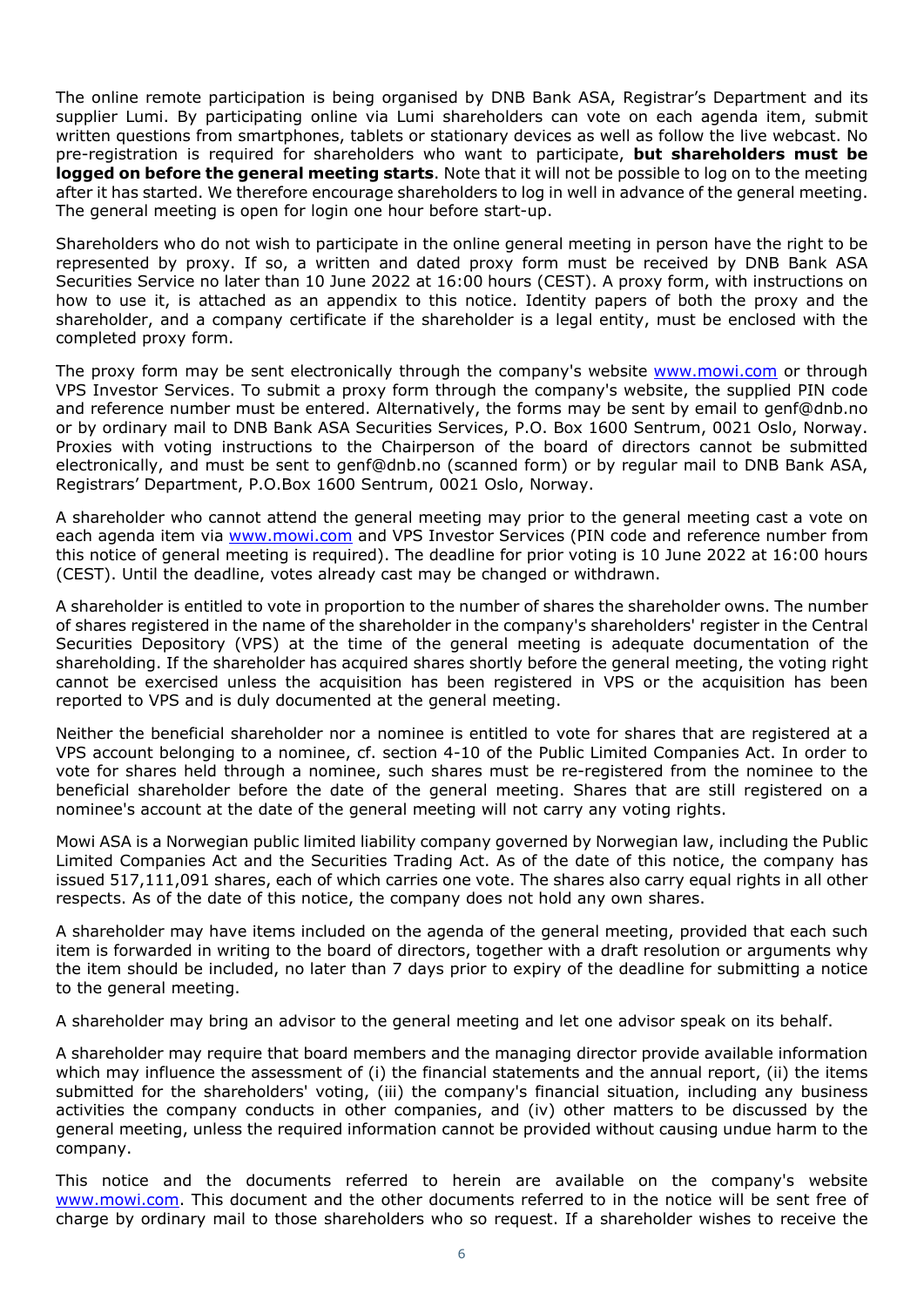The online remote participation is being organised by DNB Bank ASA, Registrar's Department and its supplier Lumi. By participating online via Lumi shareholders can vote on each agenda item, submit written questions from smartphones, tablets or stationary devices as well as follow the live webcast. No pre-registration is required for shareholders who want to participate, **but shareholders must be logged on before the general meeting starts**. Note that it will not be possible to log on to the meeting after it has started. We therefore encourage shareholders to log in well in advance of the general meeting. The general meeting is open for login one hour before start-up.

Shareholders who do not wish to participate in the online general meeting in person have the right to be represented by proxy. If so, a written and dated proxy form must be received by DNB Bank ASA Securities Service no later than 10 June 2022 at 16:00 hours (CEST). A proxy form, with instructions on how to use it, is attached as an appendix to this notice. Identity papers of both the proxy and the shareholder, and a company certificate if the shareholder is a legal entity, must be enclosed with the completed proxy form.

The proxy form may be sent electronically through the company's website www.mowi.com or through VPS Investor Services. To submit a proxy form through the company's website, the supplied PIN code and reference number must be entered. Alternatively, the forms may be sent by email to genf@dnb.no or by ordinary mail to DNB Bank ASA Securities Services, P.O. Box 1600 Sentrum, 0021 Oslo, Norway. Proxies with voting instructions to the Chairperson of the board of directors cannot be submitted electronically, and must be sent to genf@dnb.no (scanned form) or by regular mail to DNB Bank ASA, Registrars' Department, P.O.Box 1600 Sentrum, 0021 Oslo, Norway.

A shareholder who cannot attend the general meeting may prior to the general meeting cast a vote on each agenda item via www.mowi.com and VPS Investor Services (PIN code and reference number from this notice of general meeting is required). The deadline for prior voting is 10 June 2022 at 16:00 hours (CEST). Until the deadline, votes already cast may be changed or withdrawn.

A shareholder is entitled to vote in proportion to the number of shares the shareholder owns. The number of shares registered in the name of the shareholder in the company's shareholders' register in the Central Securities Depository (VPS) at the time of the general meeting is adequate documentation of the shareholding. If the shareholder has acquired shares shortly before the general meeting, the voting right cannot be exercised unless the acquisition has been registered in VPS or the acquisition has been reported to VPS and is duly documented at the general meeting.

Neither the beneficial shareholder nor a nominee is entitled to vote for shares that are registered at a VPS account belonging to a nominee, cf. section 4-10 of the Public Limited Companies Act. In order to vote for shares held through a nominee, such shares must be re-registered from the nominee to the beneficial shareholder before the date of the general meeting. Shares that are still registered on a nominee's account at the date of the general meeting will not carry any voting rights.

Mowi ASA is a Norwegian public limited liability company governed by Norwegian law, including the Public Limited Companies Act and the Securities Trading Act. As of the date of this notice, the company has issued 517,111,091 shares, each of which carries one vote. The shares also carry equal rights in all other respects. As of the date of this notice, the company does not hold any own shares.

A shareholder may have items included on the agenda of the general meeting, provided that each such item is forwarded in writing to the board of directors, together with a draft resolution or arguments why the item should be included, no later than 7 days prior to expiry of the deadline for submitting a notice to the general meeting.

A shareholder may bring an advisor to the general meeting and let one advisor speak on its behalf.

A shareholder may require that board members and the managing director provide available information which may influence the assessment of (i) the financial statements and the annual report, (ii) the items submitted for the shareholders' voting, (iii) the company's financial situation, including any business activities the company conducts in other companies, and (iv) other matters to be discussed by the general meeting, unless the required information cannot be provided without causing undue harm to the company.

This notice and the documents referred to herein are available on the company's website www.mowi.com. This document and the other documents referred to in the notice will be sent free of charge by ordinary mail to those shareholders who so request. If a shareholder wishes to receive the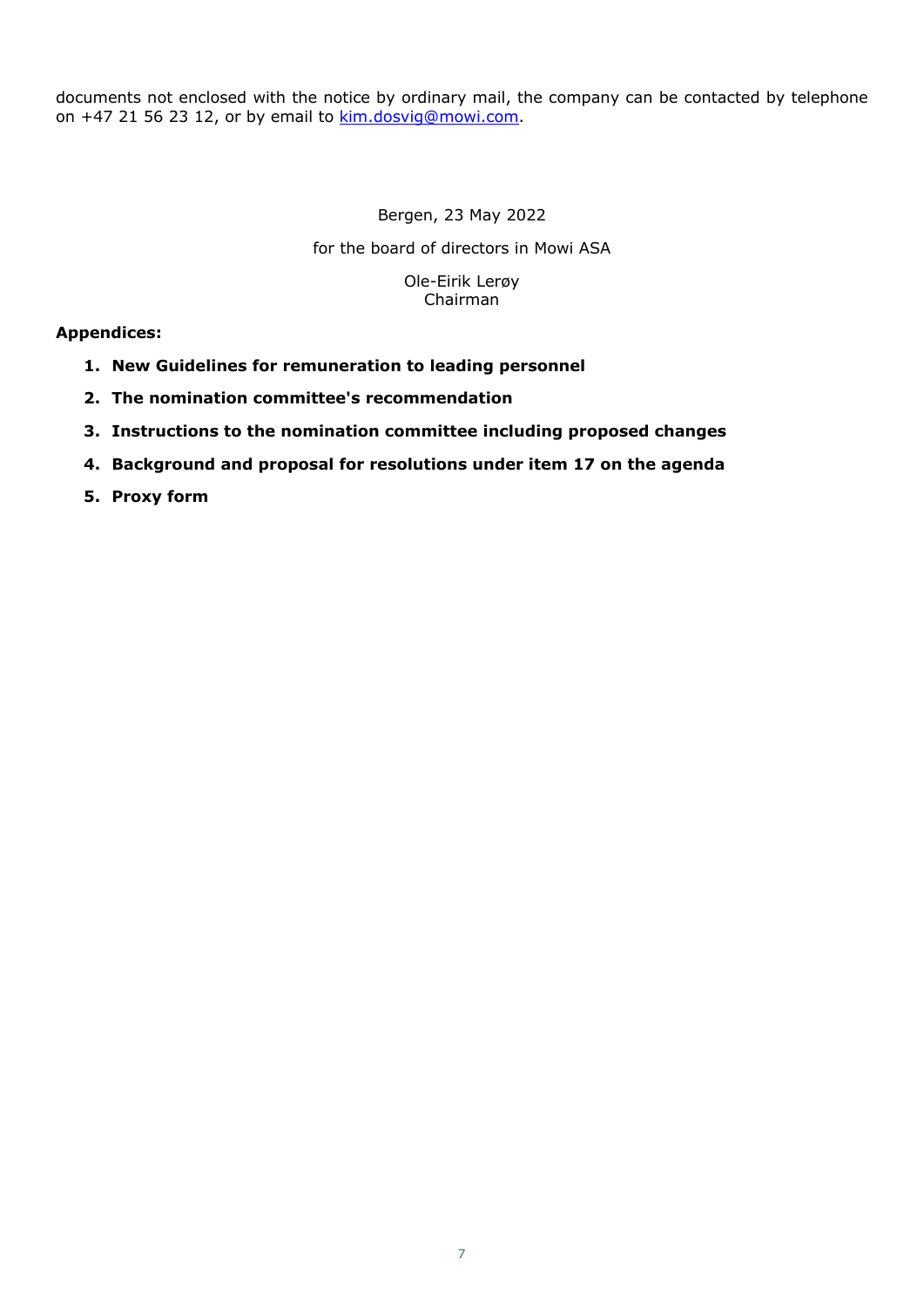documents not enclosed with the notice by ordinary mail, the company can be contacted by telephone on +47 21 56 23 12, or by email to kim.dosvig@mowi.com.

> Bergen, 23 May 2022 for the board of directors in Mowi ASA Ole-Eirik Lerøy Chairman

# **Appendices:**

- **1. New Guidelines for remuneration to leading personnel**
- **2. The nomination committee's recommendation**
- **3. Instructions to the nomination committee including proposed changes**
- **4. Background and proposal for resolutions under item 17 on the agenda**
- **5. Proxy form**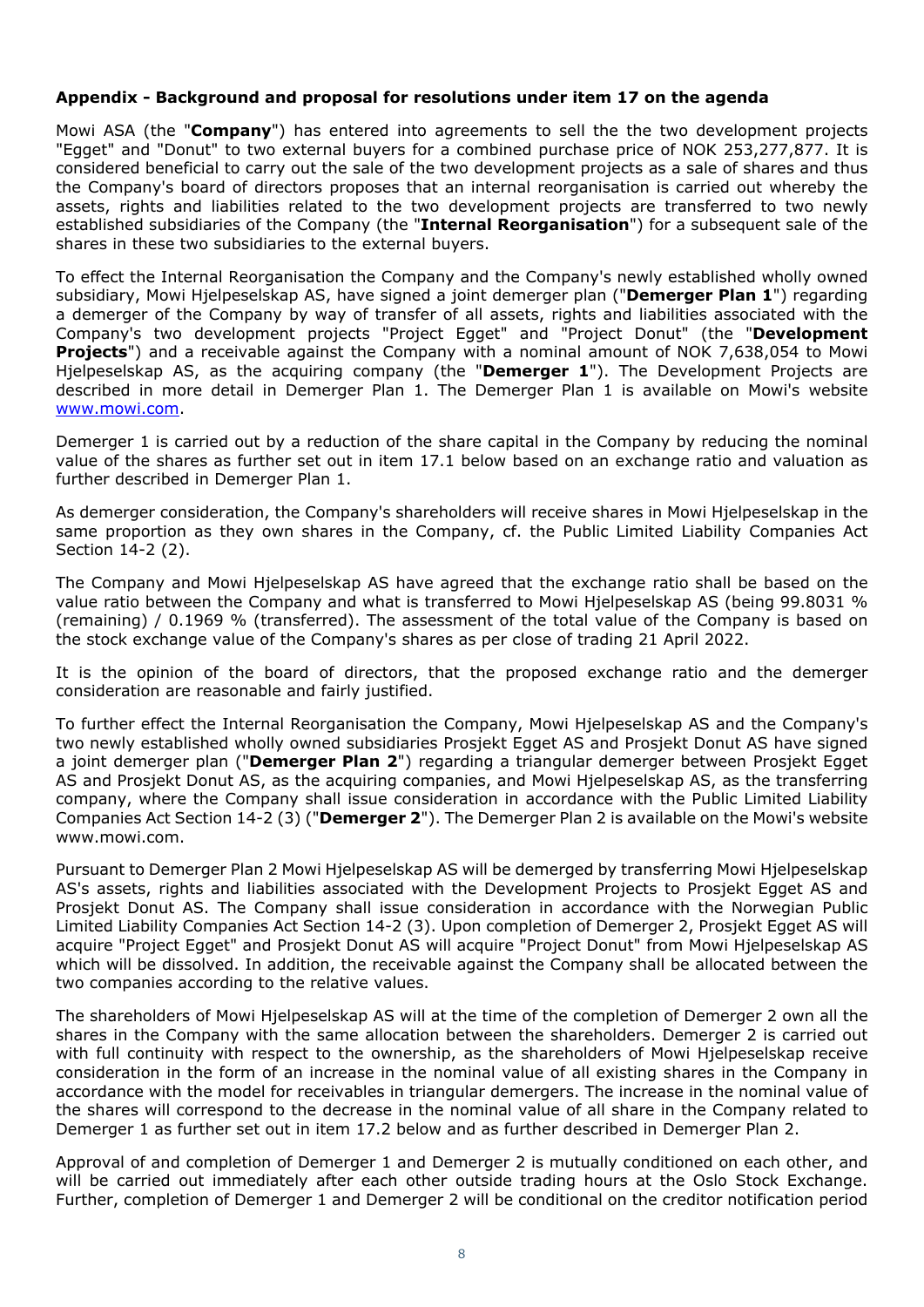# **Appendix - Background and proposal for resolutions under item 17 on the agenda**

Mowi ASA (the "**Company**") has entered into agreements to sell the the two development projects "Egget" and "Donut" to two external buyers for a combined purchase price of NOK 253,277,877. It is considered beneficial to carry out the sale of the two development projects as a sale of shares and thus the Company's board of directors proposes that an internal reorganisation is carried out whereby the assets, rights and liabilities related to the two development projects are transferred to two newly established subsidiaries of the Company (the "**Internal Reorganisation**") for a subsequent sale of the shares in these two subsidiaries to the external buyers.

To effect the Internal Reorganisation the Company and the Company's newly established wholly owned subsidiary, Mowi Hjelpeselskap AS, have signed a joint demerger plan ("**Demerger Plan 1**") regarding a demerger of the Company by way of transfer of all assets, rights and liabilities associated with the Company's two development projects "Project Egget" and "Project Donut" (the "**Development Projects**") and a receivable against the Company with a nominal amount of NOK 7,638,054 to Mowi Hjelpeselskap AS, as the acquiring company (the "**Demerger 1**"). The Development Projects are described in more detail in Demerger Plan 1. The Demerger Plan 1 is available on Mowi's website www.mowi.com.

Demerger 1 is carried out by a reduction of the share capital in the Company by reducing the nominal value of the shares as further set out in item 17.1 below based on an exchange ratio and valuation as further described in Demerger Plan 1.

As demerger consideration, the Company's shareholders will receive shares in Mowi Hjelpeselskap in the same proportion as they own shares in the Company, cf. the Public Limited Liability Companies Act Section 14-2 (2).

The Company and Mowi Hjelpeselskap AS have agreed that the exchange ratio shall be based on the value ratio between the Company and what is transferred to Mowi Hjelpeselskap AS (being 99.8031 % (remaining) / 0.1969 % (transferred). The assessment of the total value of the Company is based on the stock exchange value of the Company's shares as per close of trading 21 April 2022.

It is the opinion of the board of directors, that the proposed exchange ratio and the demerger consideration are reasonable and fairly justified.

To further effect the Internal Reorganisation the Company, Mowi Hjelpeselskap AS and the Company's two newly established wholly owned subsidiaries Prosjekt Egget AS and Prosjekt Donut AS have signed a joint demerger plan ("**Demerger Plan 2**") regarding a triangular demerger between Prosjekt Egget AS and Prosjekt Donut AS, as the acquiring companies, and Mowi Hjelpeselskap AS, as the transferring company, where the Company shall issue consideration in accordance with the Public Limited Liability Companies Act Section 14-2 (3) ("**Demerger 2**"). The Demerger Plan 2 is available on the Mowi's website www.mowi.com.

Pursuant to Demerger Plan 2 Mowi Hjelpeselskap AS will be demerged by transferring Mowi Hjelpeselskap AS's assets, rights and liabilities associated with the Development Projects to Prosjekt Egget AS and Prosjekt Donut AS. The Company shall issue consideration in accordance with the Norwegian Public Limited Liability Companies Act Section 14-2 (3). Upon completion of Demerger 2, Prosjekt Egget AS will acquire "Project Egget" and Prosjekt Donut AS will acquire "Project Donut" from Mowi Hjelpeselskap AS which will be dissolved. In addition, the receivable against the Company shall be allocated between the two companies according to the relative values.

The shareholders of Mowi Hjelpeselskap AS will at the time of the completion of Demerger 2 own all the shares in the Company with the same allocation between the shareholders. Demerger 2 is carried out with full continuity with respect to the ownership, as the shareholders of Mowi Hjelpeselskap receive consideration in the form of an increase in the nominal value of all existing shares in the Company in accordance with the model for receivables in triangular demergers. The increase in the nominal value of the shares will correspond to the decrease in the nominal value of all share in the Company related to Demerger 1 as further set out in item 17.2 below and as further described in Demerger Plan 2.

Approval of and completion of Demerger 1 and Demerger 2 is mutually conditioned on each other, and will be carried out immediately after each other outside trading hours at the Oslo Stock Exchange. Further, completion of Demerger 1 and Demerger 2 will be conditional on the creditor notification period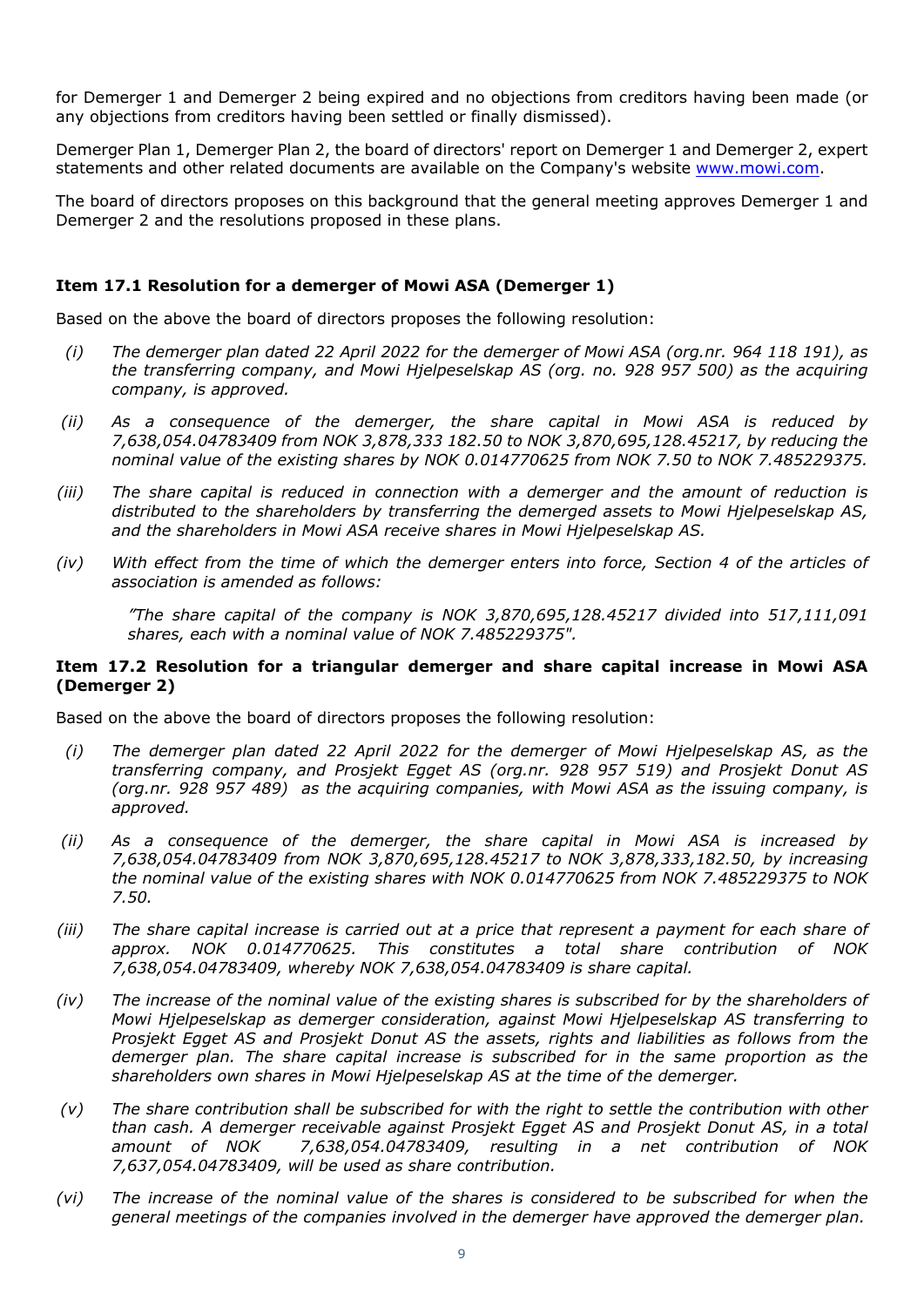for Demerger 1 and Demerger 2 being expired and no objections from creditors having been made (or any objections from creditors having been settled or finally dismissed).

Demerger Plan 1, Demerger Plan 2, the board of directors' report on Demerger 1 and Demerger 2, expert statements and other related documents are available on the Company's website www.mowi.com.

The board of directors proposes on this background that the general meeting approves Demerger 1 and Demerger 2 and the resolutions proposed in these plans.

# **Item 17.1 Resolution for a demerger of Mowi ASA (Demerger 1)**

Based on the above the board of directors proposes the following resolution:

- *(i) The demerger plan dated 22 April 2022 for the demerger of Mowi ASA (org.nr. 964 118 191), as the transferring company, and Mowi Hjelpeselskap AS (org. no. 928 957 500) as the acquiring company, is approved.*
- *(ii) As a consequence of the demerger, the share capital in Mowi ASA is reduced by 7,638,054.04783409 from NOK 3,878,333 182.50 to NOK 3,870,695,128.45217, by reducing the nominal value of the existing shares by NOK 0.014770625 from NOK 7.50 to NOK 7.485229375.*
- *(iii) The share capital is reduced in connection with a demerger and the amount of reduction is distributed to the shareholders by transferring the demerged assets to Mowi Hjelpeselskap AS, and the shareholders in Mowi ASA receive shares in Mowi Hjelpeselskap AS.*
- *(iv) With effect from the time of which the demerger enters into force, Section 4 of the articles of association is amended as follows:*

*"The share capital of the company is NOK 3,870,695,128.45217 divided into 517,111,091 shares, each with a nominal value of NOK 7.485229375".* 

## **Item 17.2 Resolution for a triangular demerger and share capital increase in Mowi ASA (Demerger 2)**

Based on the above the board of directors proposes the following resolution:

- *(i) The demerger plan dated 22 April 2022 for the demerger of Mowi Hjelpeselskap AS, as the transferring company, and Prosjekt Egget AS (org.nr. 928 957 519) and Prosjekt Donut AS (org.nr. 928 957 489) as the acquiring companies, with Mowi ASA as the issuing company, is approved.*
- *(ii) As a consequence of the demerger, the share capital in Mowi ASA is increased by 7,638,054.04783409 from NOK 3,870,695,128.45217 to NOK 3,878,333,182.50, by increasing the nominal value of the existing shares with NOK 0.014770625 from NOK 7.485229375 to NOK 7.50.*
- *(iii) The share capital increase is carried out at a price that represent a payment for each share of approx. NOK 0.014770625. This constitutes a total share contribution of NOK 7,638,054.04783409, whereby NOK 7,638,054.04783409 is share capital.*
- *(iv) The increase of the nominal value of the existing shares is subscribed for by the shareholders of Mowi Hjelpeselskap as demerger consideration, against Mowi Hjelpeselskap AS transferring to Prosjekt Egget AS and Prosjekt Donut AS the assets, rights and liabilities as follows from the demerger plan. The share capital increase is subscribed for in the same proportion as the shareholders own shares in Mowi Hjelpeselskap AS at the time of the demerger.*
- *(v) The share contribution shall be subscribed for with the right to settle the contribution with other than cash. A demerger receivable against Prosjekt Egget AS and Prosjekt Donut AS, in a total amount of NOK 7,638,054.04783409, resulting in a net contribution of NOK 7,637,054.04783409, will be used as share contribution.*
- *(vi) The increase of the nominal value of the shares is considered to be subscribed for when the general meetings of the companies involved in the demerger have approved the demerger plan.*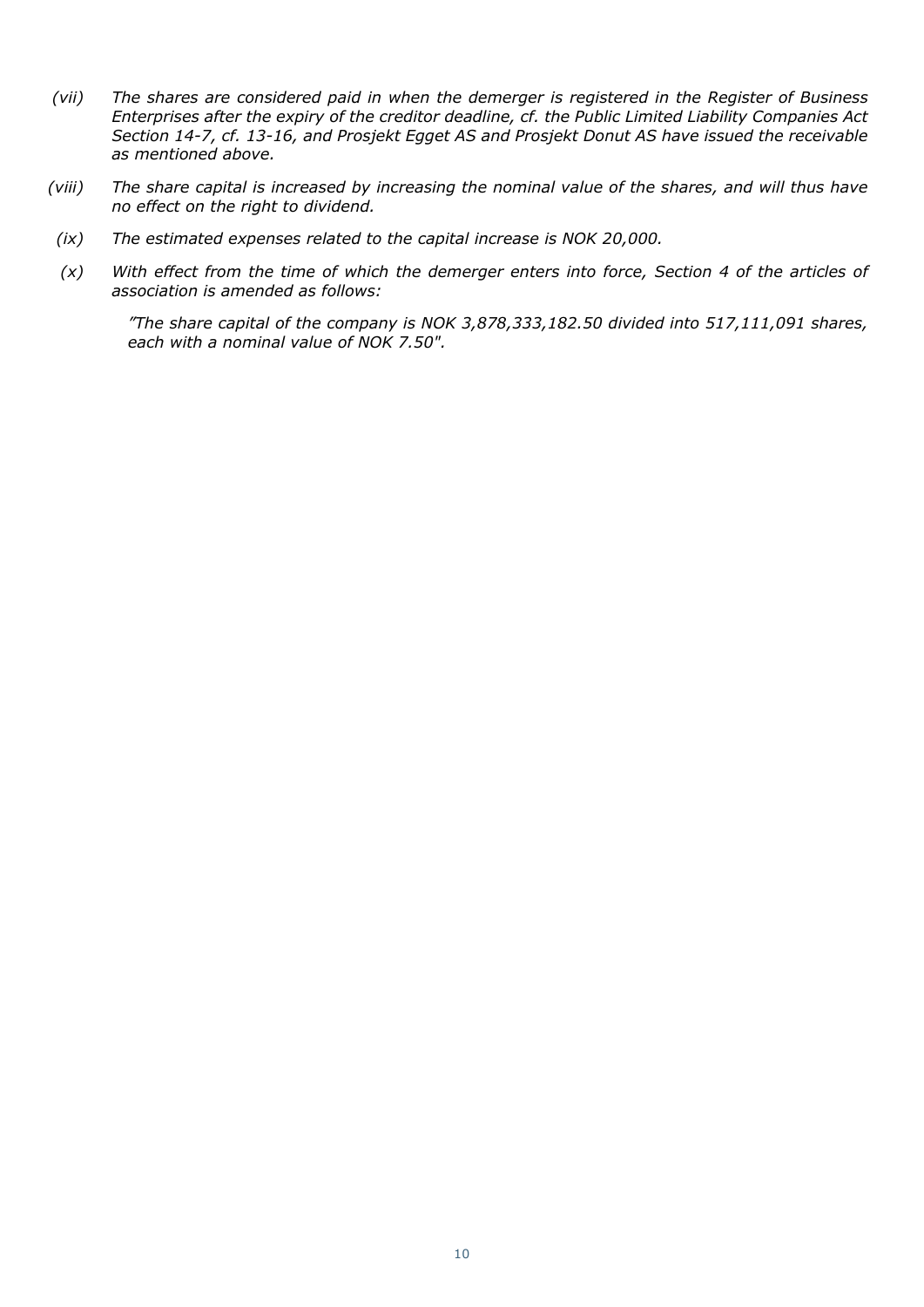- *(vii) The shares are considered paid in when the demerger is registered in the Register of Business Enterprises after the expiry of the creditor deadline, cf. the Public Limited Liability Companies Act Section 14-7, cf. 13-16, and Prosjekt Egget AS and Prosjekt Donut AS have issued the receivable as mentioned above.*
- *(viii) The share capital is increased by increasing the nominal value of the shares, and will thus have no effect on the right to dividend.*
- *(ix) The estimated expenses related to the capital increase is NOK 20,000.*
- *(x) With effect from the time of which the demerger enters into force, Section 4 of the articles of association is amended as follows:*

*"The share capital of the company is NOK 3,878,333,182.50 divided into 517,111,091 shares, each with a nominal value of NOK 7.50".*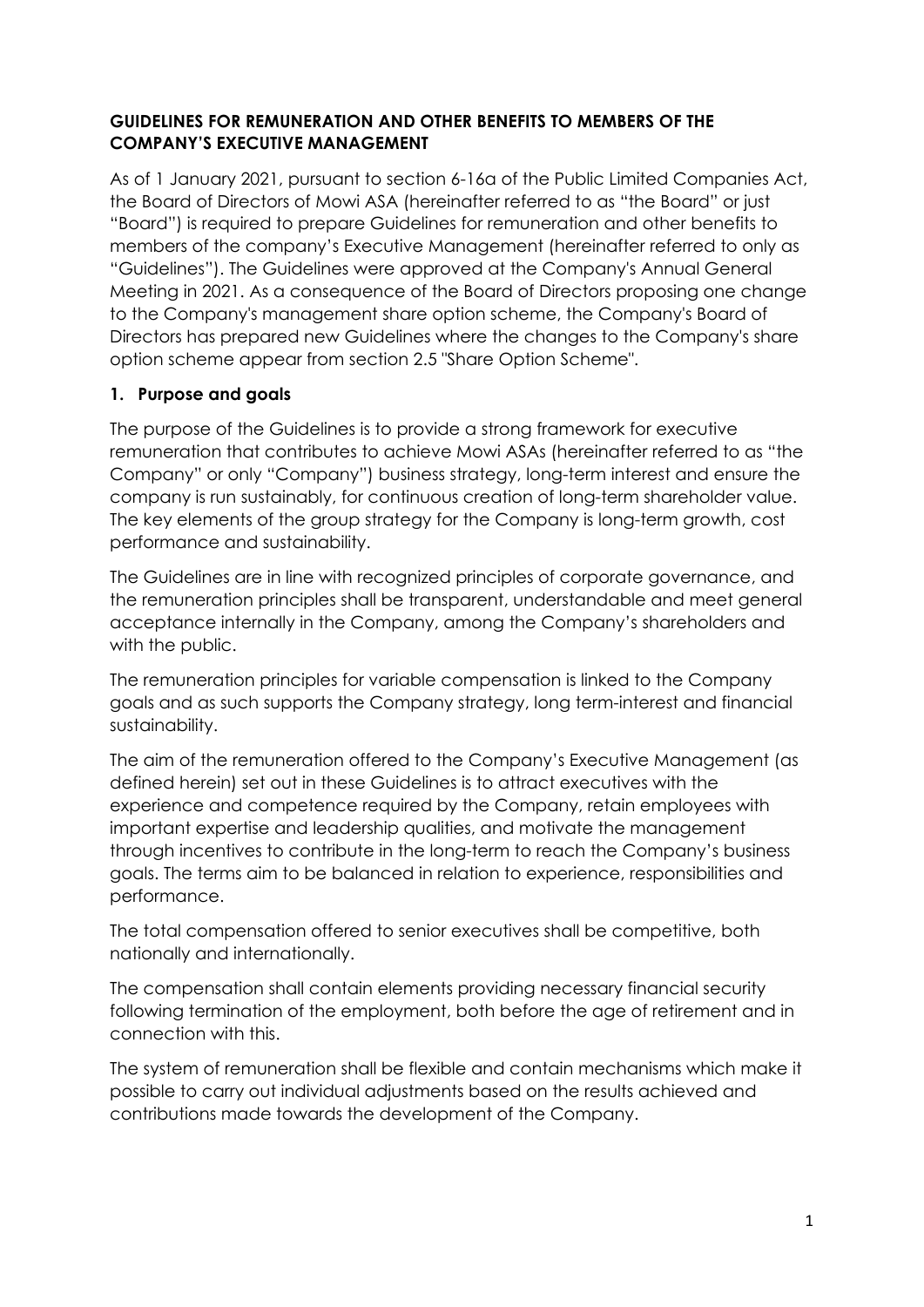# **GUIDELINES FOR REMUNERATION AND OTHER BENEFITS TO MEMBERS OF THE COMPANY'S EXECUTIVE MANAGEMENT**

As of 1 January 2021, pursuant to section 6-16a of the Public Limited Companies Act, the Board of Directors of Mowi ASA (hereinafter referred to as "the Board" or just "Board") is required to prepare Guidelines for remuneration and other benefits to members of the company's Executive Management (hereinafter referred to only as "Guidelines"). The Guidelines were approved at the Company's Annual General Meeting in 2021. As a consequence of the Board of Directors proposing one change to the Company's management share option scheme, the Company's Board of Directors has prepared new Guidelines where the changes to the Company's share option scheme appear from section 2.5 "Share Option Scheme".

# **1. Purpose and goals**

The purpose of the Guidelines is to provide a strong framework for executive remuneration that contributes to achieve Mowi ASAs (hereinafter referred to as "the Company" or only "Company") business strategy, long-term interest and ensure the company is run sustainably, for continuous creation of long-term shareholder value. The key elements of the group strategy for the Company is long-term growth, cost performance and sustainability.

The Guidelines are in line with recognized principles of corporate governance, and the remuneration principles shall be transparent, understandable and meet general acceptance internally in the Company, among the Company's shareholders and with the public.

The remuneration principles for variable compensation is linked to the Company goals and as such supports the Company strategy, long term-interest and financial sustainability.

The aim of the remuneration offered to the Company's Executive Management (as defined herein) set out in these Guidelines is to attract executives with the experience and competence required by the Company, retain employees with important expertise and leadership qualities, and motivate the management through incentives to contribute in the long-term to reach the Company's business goals. The terms aim to be balanced in relation to experience, responsibilities and performance.

The total compensation offered to senior executives shall be competitive, both nationally and internationally.

The compensation shall contain elements providing necessary financial security following termination of the employment, both before the age of retirement and in connection with this.

The system of remuneration shall be flexible and contain mechanisms which make it possible to carry out individual adjustments based on the results achieved and contributions made towards the development of the Company.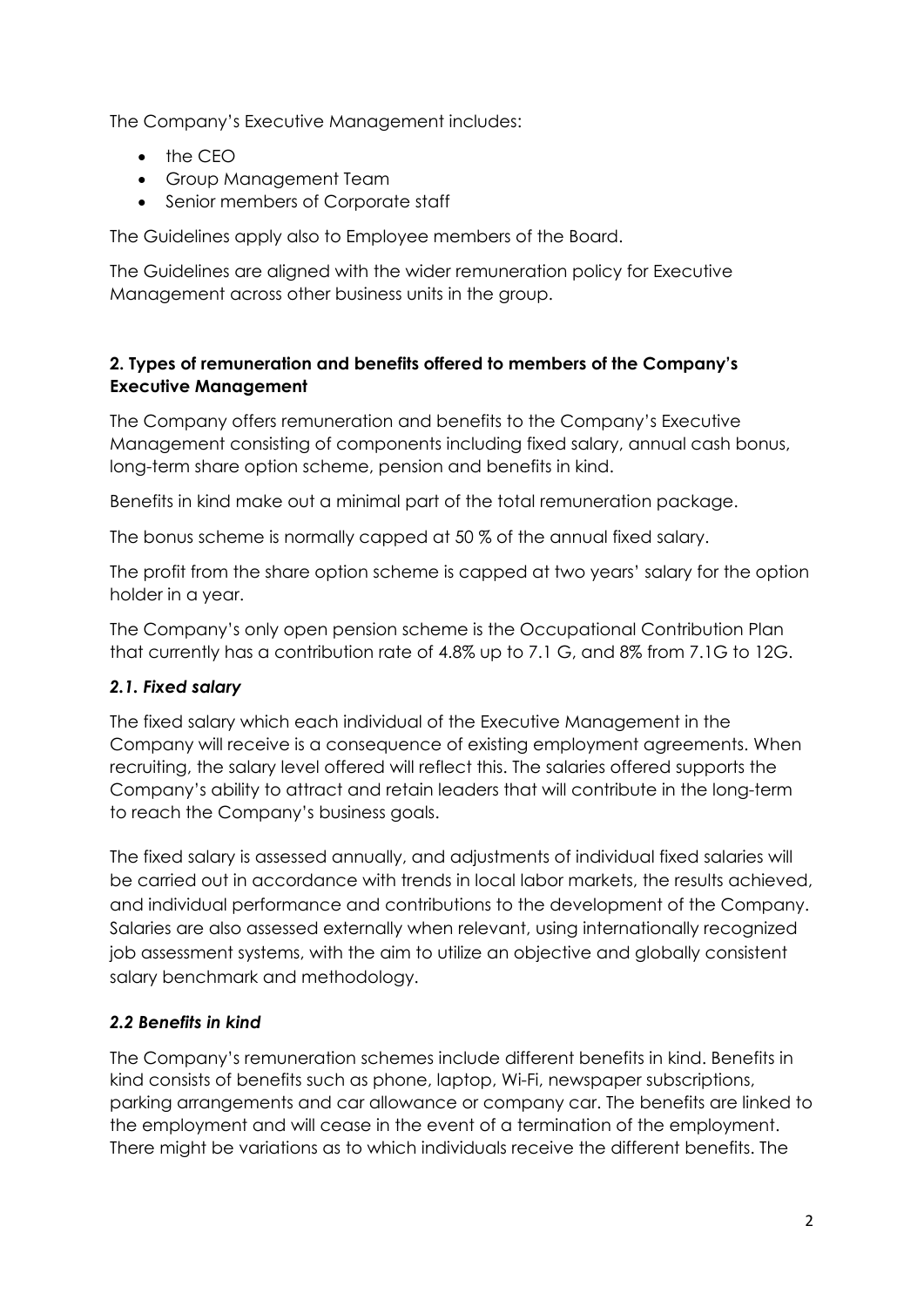The Company's Executive Management includes:

- $\bullet$  the CFO
- Group Management Team
- Senior members of Corporate staff

The Guidelines apply also to Employee members of the Board.

The Guidelines are aligned with the wider remuneration policy for Executive Management across other business units in the group.

# **2. Types of remuneration and benefits offered to members of the Company's Executive Management**

The Company offers remuneration and benefits to the Company's Executive Management consisting of components including fixed salary, annual cash bonus, long-term share option scheme, pension and benefits in kind.

Benefits in kind make out a minimal part of the total remuneration package.

The bonus scheme is normally capped at 50 % of the annual fixed salary.

The profit from the share option scheme is capped at two years' salary for the option holder in a year.

The Company's only open pension scheme is the Occupational Contribution Plan that currently has a contribution rate of 4.8% up to 7.1 G, and 8% from 7.1G to 12G.

# *2.1. Fixed salary*

The fixed salary which each individual of the Executive Management in the Company will receive is a consequence of existing employment agreements. When recruiting, the salary level offered will reflect this. The salaries offered supports the Company's ability to attract and retain leaders that will contribute in the long-term to reach the Company's business goals.

The fixed salary is assessed annually, and adjustments of individual fixed salaries will be carried out in accordance with trends in local labor markets, the results achieved, and individual performance and contributions to the development of the Company. Salaries are also assessed externally when relevant, using internationally recognized job assessment systems, with the aim to utilize an objective and globally consistent salary benchmark and methodology.

# *2.2 Benefits in kind*

The Company's remuneration schemes include different benefits in kind. Benefits in kind consists of benefits such as phone, laptop, Wi-Fi, newspaper subscriptions, parking arrangements and car allowance or company car. The benefits are linked to the employment and will cease in the event of a termination of the employment. There might be variations as to which individuals receive the different benefits. The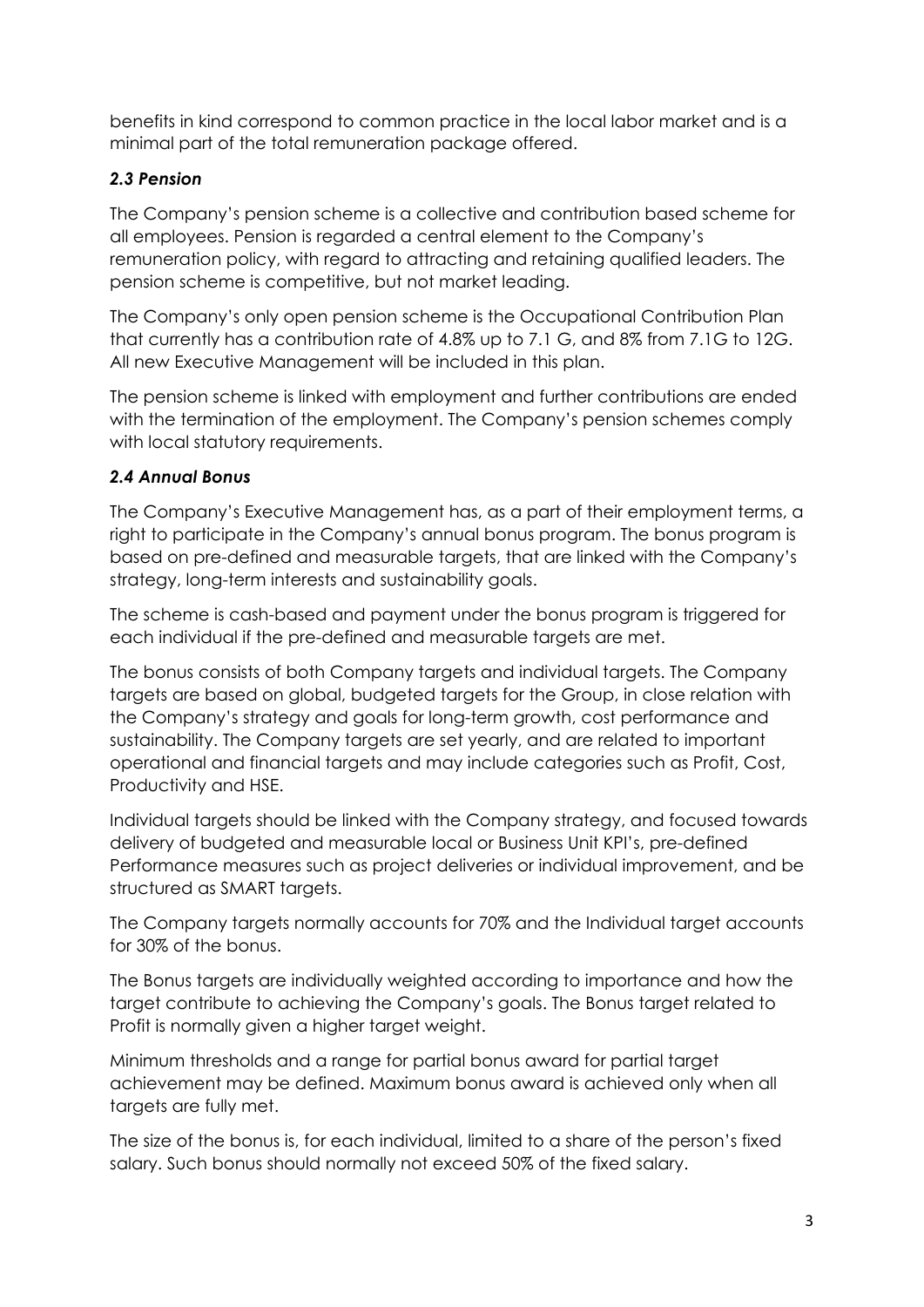benefits in kind correspond to common practice in the local labor market and is a minimal part of the total remuneration package offered.

# *2.3 Pension*

The Company's pension scheme is a collective and contribution based scheme for all employees. Pension is regarded a central element to the Company's remuneration policy, with regard to attracting and retaining qualified leaders. The pension scheme is competitive, but not market leading.

The Company's only open pension scheme is the Occupational Contribution Plan that currently has a contribution rate of 4.8% up to 7.1 G, and 8% from 7.1G to 12G. All new Executive Management will be included in this plan.

The pension scheme is linked with employment and further contributions are ended with the termination of the employment. The Company's pension schemes comply with local statutory requirements.

# *2.4 Annual Bonus*

The Company's Executive Management has, as a part of their employment terms, a right to participate in the Company's annual bonus program. The bonus program is based on pre-defined and measurable targets, that are linked with the Company's strategy, long-term interests and sustainability goals.

The scheme is cash-based and payment under the bonus program is triggered for each individual if the pre-defined and measurable targets are met.

The bonus consists of both Company targets and individual targets. The Company targets are based on global, budgeted targets for the Group, in close relation with the Company's strategy and goals for long-term growth, cost performance and sustainability. The Company targets are set yearly, and are related to important operational and financial targets and may include categories such as Profit, Cost, Productivity and HSE.

Individual targets should be linked with the Company strategy, and focused towards delivery of budgeted and measurable local or Business Unit KPI's, pre-defined Performance measures such as project deliveries or individual improvement, and be structured as SMART targets.

The Company targets normally accounts for 70% and the Individual target accounts for 30% of the bonus.

The Bonus targets are individually weighted according to importance and how the target contribute to achieving the Company's goals. The Bonus target related to Profit is normally given a higher target weight.

Minimum thresholds and a range for partial bonus award for partial target achievement may be defined. Maximum bonus award is achieved only when all targets are fully met.

The size of the bonus is, for each individual, limited to a share of the person's fixed salary. Such bonus should normally not exceed 50% of the fixed salary.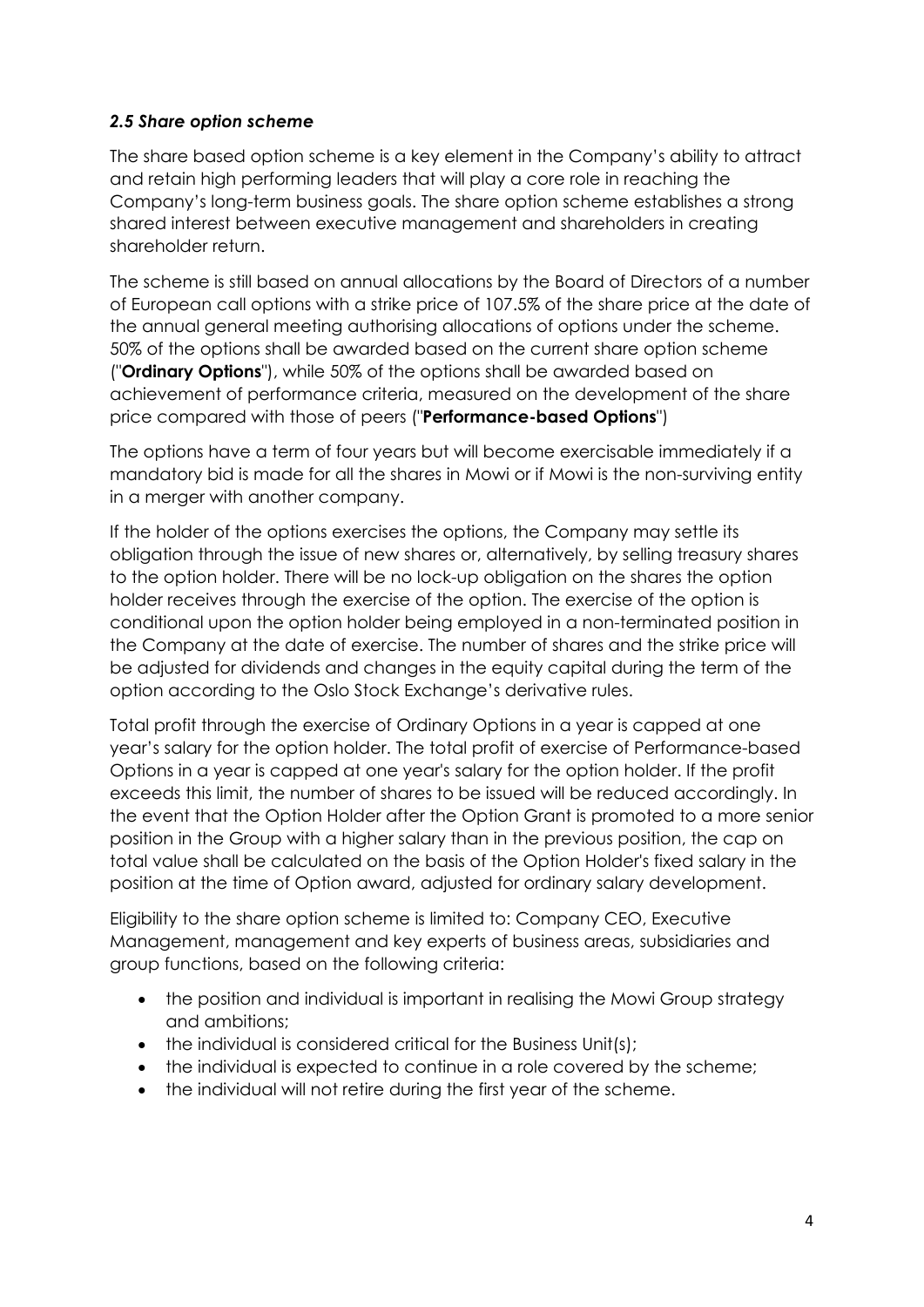# *2.5 Share option scheme*

The share based option scheme is a key element in the Company's ability to attract and retain high performing leaders that will play a core role in reaching the Company's long-term business goals. The share option scheme establishes a strong shared interest between executive management and shareholders in creating shareholder return.

The scheme is still based on annual allocations by the Board of Directors of a number of European call options with a strike price of 107.5% of the share price at the date of the annual general meeting authorising allocations of options under the scheme. 50% of the options shall be awarded based on the current share option scheme ("**Ordinary Options**"), while 50% of the options shall be awarded based on achievement of performance criteria, measured on the development of the share price compared with those of peers ("**Performance-based Options**")

The options have a term of four years but will become exercisable immediately if a mandatory bid is made for all the shares in Mowi or if Mowi is the non-surviving entity in a merger with another company.

If the holder of the options exercises the options, the Company may settle its obligation through the issue of new shares or, alternatively, by selling treasury shares to the option holder. There will be no lock-up obligation on the shares the option holder receives through the exercise of the option. The exercise of the option is conditional upon the option holder being employed in a non-terminated position in the Company at the date of exercise. The number of shares and the strike price will be adjusted for dividends and changes in the equity capital during the term of the option according to the Oslo Stock Exchange's derivative rules.

Total profit through the exercise of Ordinary Options in a year is capped at one year's salary for the option holder. The total profit of exercise of Performance-based Options in a year is capped at one year's salary for the option holder. If the profit exceeds this limit, the number of shares to be issued will be reduced accordingly. In the event that the Option Holder after the Option Grant is promoted to a more senior position in the Group with a higher salary than in the previous position, the cap on total value shall be calculated on the basis of the Option Holder's fixed salary in the position at the time of Option award, adjusted for ordinary salary development.

Eligibility to the share option scheme is limited to: Company CEO, Executive Management, management and key experts of business areas, subsidiaries and group functions, based on the following criteria:

- the position and individual is important in realising the Mowi Group strategy and ambitions;
- the individual is considered critical for the Business Unit(s);
- the individual is expected to continue in a role covered by the scheme;
- the individual will not retire during the first year of the scheme.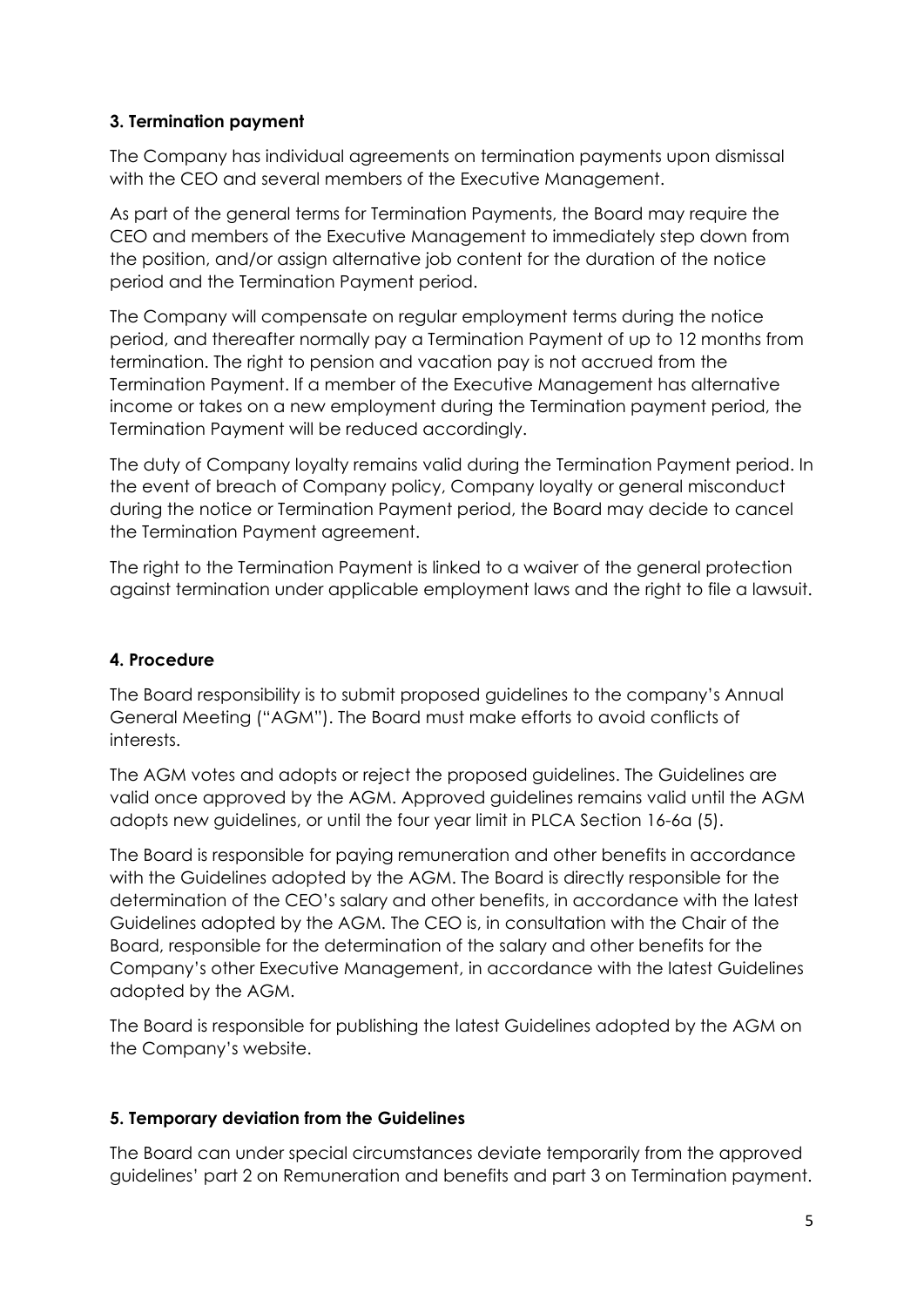# **3. Termination payment**

The Company has individual agreements on termination payments upon dismissal with the CEO and several members of the Executive Management.

As part of the general terms for Termination Payments, the Board may require the CEO and members of the Executive Management to immediately step down from the position, and/or assign alternative job content for the duration of the notice period and the Termination Payment period.

The Company will compensate on regular employment terms during the notice period, and thereafter normally pay a Termination Payment of up to 12 months from termination. The right to pension and vacation pay is not accrued from the Termination Payment. If a member of the Executive Management has alternative income or takes on a new employment during the Termination payment period, the Termination Payment will be reduced accordingly.

The duty of Company loyalty remains valid during the Termination Payment period. In the event of breach of Company policy, Company loyalty or general misconduct during the notice or Termination Payment period, the Board may decide to cancel the Termination Payment agreement.

The right to the Termination Payment is linked to a waiver of the general protection against termination under applicable employment laws and the right to file a lawsuit.

# **4. Procedure**

The Board responsibility is to submit proposed guidelines to the company's Annual General Meeting ("AGM"). The Board must make efforts to avoid conflicts of interests.

The AGM votes and adopts or reject the proposed guidelines. The Guidelines are valid once approved by the AGM. Approved guidelines remains valid until the AGM adopts new guidelines, or until the four year limit in PLCA Section 16-6a (5).

The Board is responsible for paying remuneration and other benefits in accordance with the Guidelines adopted by the AGM. The Board is directly responsible for the determination of the CEO's salary and other benefits, in accordance with the latest Guidelines adopted by the AGM. The CEO is, in consultation with the Chair of the Board, responsible for the determination of the salary and other benefits for the Company's other Executive Management, in accordance with the latest Guidelines adopted by the AGM.

The Board is responsible for publishing the latest Guidelines adopted by the AGM on the Company's website.

# **5. Temporary deviation from the Guidelines**

The Board can under special circumstances deviate temporarily from the approved guidelines' part 2 on Remuneration and benefits and part 3 on Termination payment.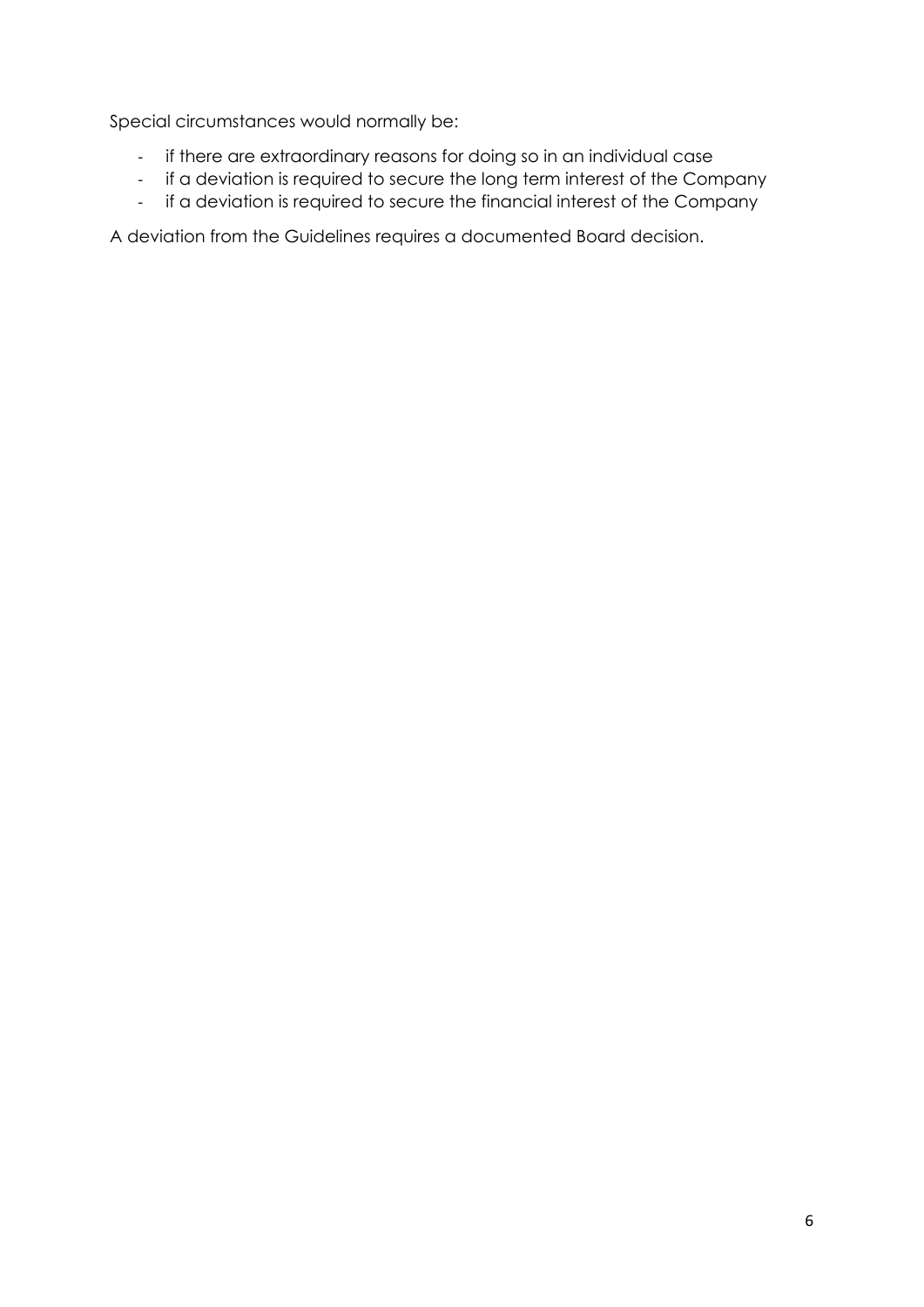Special circumstances would normally be:

- ‐ if there are extraordinary reasons for doing so in an individual case
- ‐ if a deviation is required to secure the long term interest of the Company
- if a deviation is required to secure the financial interest of the Company

A deviation from the Guidelines requires a documented Board decision.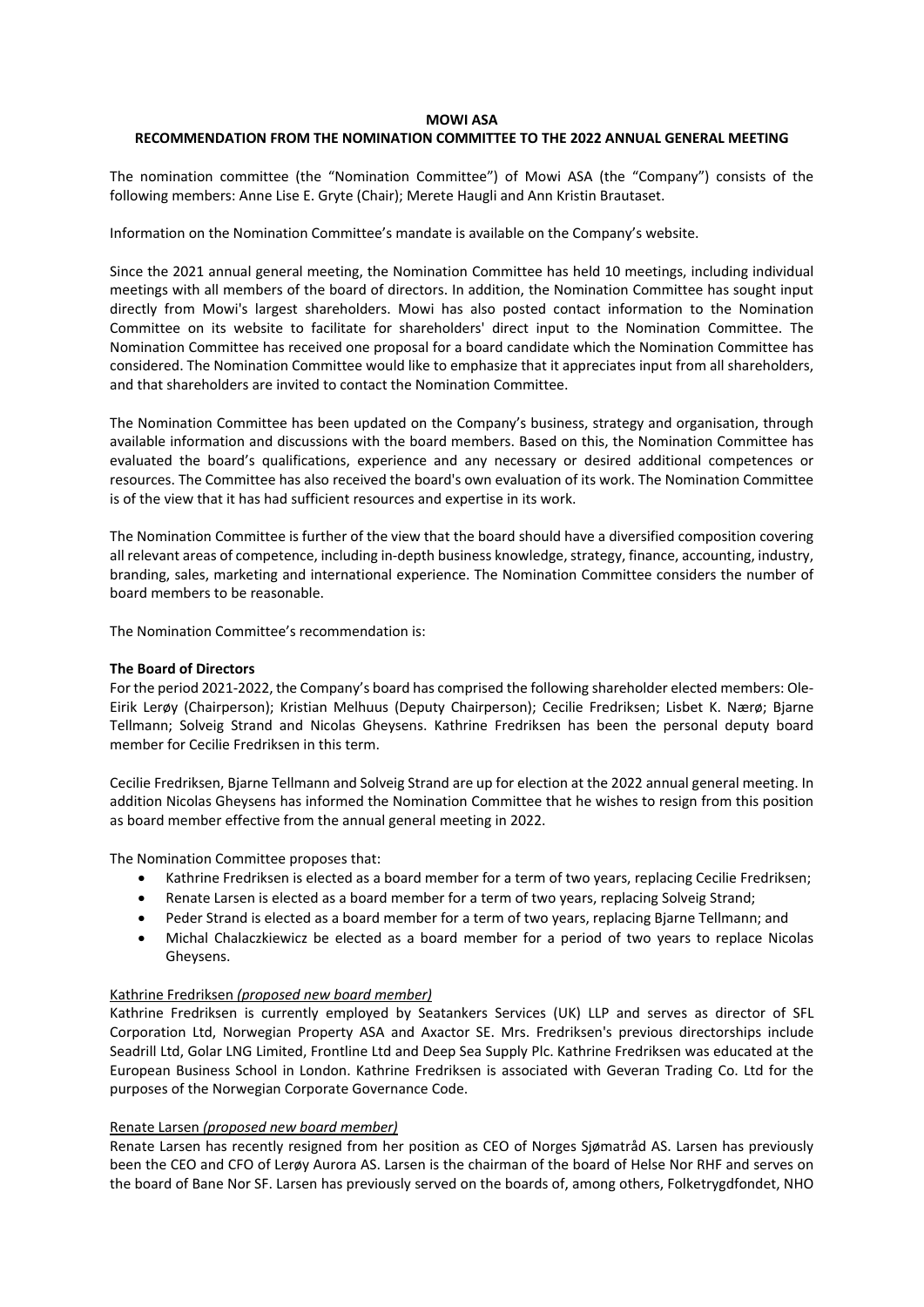#### **MOWI ASA**

#### **RECOMMENDATION FROM THE NOMINATION COMMITTEE TO THE 2022 ANNUAL GENERAL MEETING**

The nomination committee (the "Nomination Committee") of Mowi ASA (the "Company") consists of the following members: Anne Lise E. Gryte (Chair); Merete Haugli and Ann Kristin Brautaset.

Information on the Nomination Committee's mandate is available on the Company's website.

Since the 2021 annual general meeting, the Nomination Committee has held 10 meetings, including individual meetings with all members of the board of directors. In addition, the Nomination Committee has sought input directly from Mowi's largest shareholders. Mowi has also posted contact information to the Nomination Committee on its website to facilitate for shareholders' direct input to the Nomination Committee. The Nomination Committee has received one proposal for a board candidate which the Nomination Committee has considered. The Nomination Committee would like to emphasize that it appreciates input from all shareholders, and that shareholders are invited to contact the Nomination Committee.

The Nomination Committee has been updated on the Company's business, strategy and organisation, through available information and discussions with the board members. Based on this, the Nomination Committee has evaluated the board's qualifications, experience and any necessary or desired additional competences or resources. The Committee has also received the board's own evaluation of its work. The Nomination Committee is of the view that it has had sufficient resources and expertise in its work.

The Nomination Committee is further of the view that the board should have a diversified composition covering all relevant areas of competence, including in-depth business knowledge, strategy, finance, accounting, industry, branding, sales, marketing and international experience. The Nomination Committee considers the number of board members to be reasonable.

The Nomination Committee's recommendation is:

#### **The Board of Directors**

For the period 2021‐2022, the Company's board has comprised the following shareholder elected members: Ole‐ Eirik Lerøy (Chairperson); Kristian Melhuus (Deputy Chairperson); Cecilie Fredriksen; Lisbet K. Nærø; Bjarne Tellmann; Solveig Strand and Nicolas Gheysens. Kathrine Fredriksen has been the personal deputy board member for Cecilie Fredriksen in this term.

Cecilie Fredriksen, Bjarne Tellmann and Solveig Strand are up for election at the 2022 annual general meeting. In addition Nicolas Gheysens has informed the Nomination Committee that he wishes to resign from this position as board member effective from the annual general meeting in 2022.

The Nomination Committee proposes that:

- Kathrine Fredriksen is elected as a board member for a term of two years, replacing Cecilie Fredriksen;
- Renate Larsen is elected as a board member for a term of two years, replacing Solveig Strand;
- Peder Strand is elected as a board member for a term of two years, replacing Bjarne Tellmann; and
- Michal Chalaczkiewicz be elected as a board member for a period of two years to replace Nicolas Gheysens.

#### Kathrine Fredriksen *(proposed new board member)*

Kathrine Fredriksen is currently employed by Seatankers Services (UK) LLP and serves as director of SFL Corporation Ltd, Norwegian Property ASA and Axactor SE. Mrs. Fredriksen's previous directorships include Seadrill Ltd, Golar LNG Limited, Frontline Ltd and Deep Sea Supply Plc. Kathrine Fredriksen was educated at the European Business School in London. Kathrine Fredriksen is associated with Geveran Trading Co. Ltd for the purposes of the Norwegian Corporate Governance Code.

#### Renate Larsen *(proposed new board member)*

Renate Larsen has recently resigned from her position as CEO of Norges Sjømatråd AS. Larsen has previously been the CEO and CFO of Lerøy Aurora AS. Larsen is the chairman of the board of Helse Nor RHF and serves on the board of Bane Nor SF. Larsen has previously served on the boards of, among others, Folketrygdfondet, NHO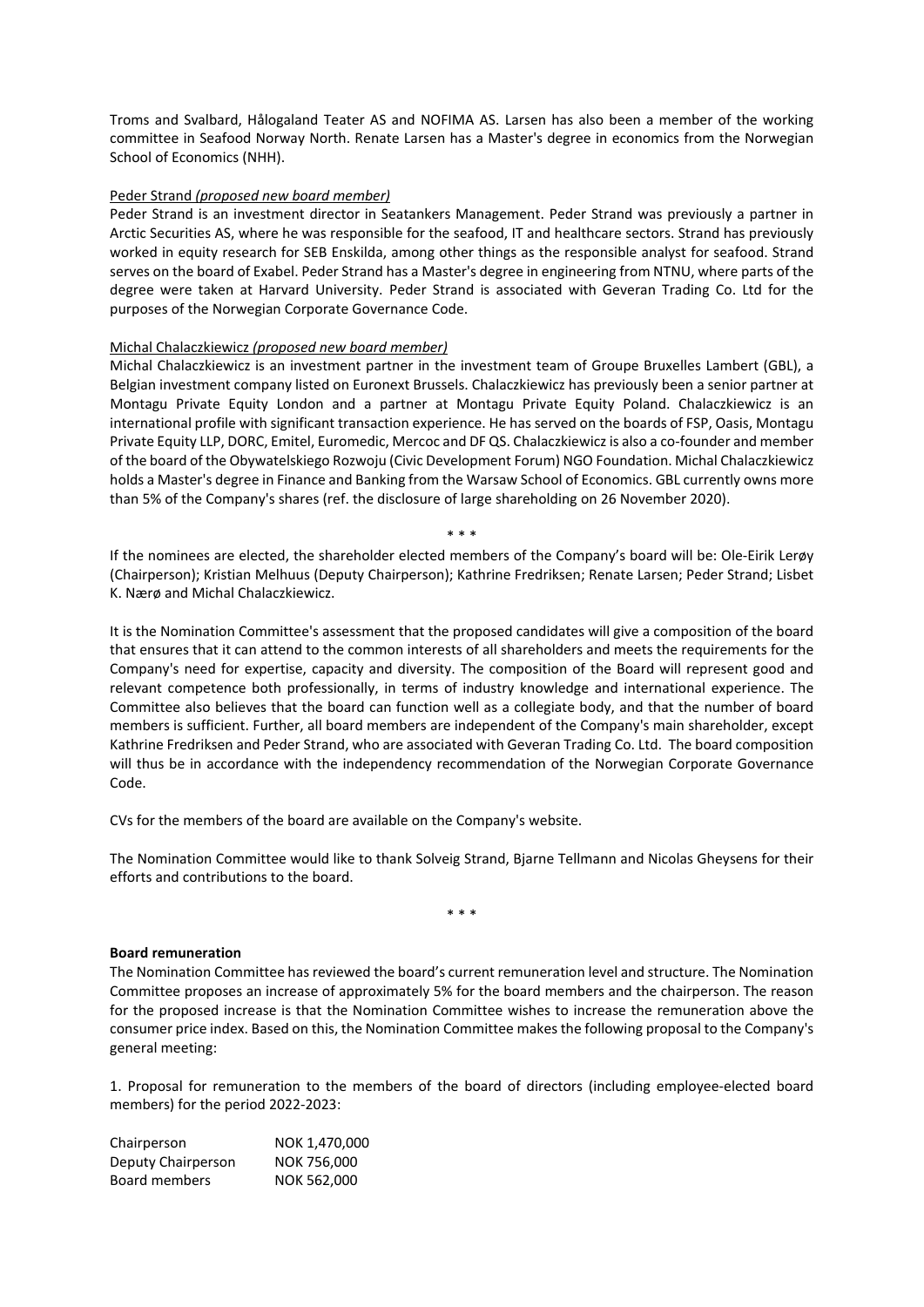Troms and Svalbard, Hålogaland Teater AS and NOFIMA AS. Larsen has also been a member of the working committee in Seafood Norway North. Renate Larsen has a Master's degree in economics from the Norwegian School of Economics (NHH).

#### Peder Strand *(proposed new board member)*

Peder Strand is an investment director in Seatankers Management. Peder Strand was previously a partner in Arctic Securities AS, where he was responsible for the seafood, IT and healthcare sectors. Strand has previously worked in equity research for SEB Enskilda, among other things as the responsible analyst for seafood. Strand serves on the board of Exabel. Peder Strand has a Master's degree in engineering from NTNU, where parts of the degree were taken at Harvard University. Peder Strand is associated with Geveran Trading Co. Ltd for the purposes of the Norwegian Corporate Governance Code.

#### Michal Chalaczkiewicz *(proposed new board member)*

Michal Chalaczkiewicz is an investment partner in the investment team of Groupe Bruxelles Lambert (GBL), a Belgian investment company listed on Euronext Brussels. Chalaczkiewicz has previously been a senior partner at Montagu Private Equity London and a partner at Montagu Private Equity Poland. Chalaczkiewicz is an international profile with significant transaction experience. He has served on the boards of FSP, Oasis, Montagu Private Equity LLP, DORC, Emitel, Euromedic, Mercoc and DF QS. Chalaczkiewicz is also a co-founder and member of the board of the Obywatelskiego Rozwoju (Civic Development Forum) NGO Foundation. Michal Chalaczkiewicz holds a Master's degree in Finance and Banking from the Warsaw School of Economics. GBL currently owns more than 5% of the Company's shares (ref. the disclosure of large shareholding on 26 November 2020).

\* \* \*

If the nominees are elected, the shareholder elected members of the Company's board will be: Ole‐Eirik Lerøy (Chairperson); Kristian Melhuus (Deputy Chairperson); Kathrine Fredriksen; Renate Larsen; Peder Strand; Lisbet K. Nærø and Michal Chalaczkiewicz.

It is the Nomination Committee's assessment that the proposed candidates will give a composition of the board that ensures that it can attend to the common interests of all shareholders and meets the requirements for the Company's need for expertise, capacity and diversity. The composition of the Board will represent good and relevant competence both professionally, in terms of industry knowledge and international experience. The Committee also believes that the board can function well as a collegiate body, and that the number of board members is sufficient. Further, all board members are independent of the Company's main shareholder, except Kathrine Fredriksen and Peder Strand, who are associated with Geveran Trading Co. Ltd. The board composition will thus be in accordance with the independency recommendation of the Norwegian Corporate Governance Code.

CVs for the members of the board are available on the Company's website.

The Nomination Committee would like to thank Solveig Strand, Bjarne Tellmann and Nicolas Gheysens for their efforts and contributions to the board.

\* \* \*

#### **Board remuneration**

The Nomination Committee has reviewed the board's current remuneration level and structure. The Nomination Committee proposes an increase of approximately 5% for the board members and the chairperson. The reason for the proposed increase is that the Nomination Committee wishes to increase the remuneration above the consumer price index. Based on this, the Nomination Committee makesthe following proposal to the Company's general meeting:

1. Proposal for remuneration to the members of the board of directors (including employee‐elected board members) for the period 2022‐2023:

| Chairperson        | NOK 1,470,000 |
|--------------------|---------------|
| Deputy Chairperson | NOK 756,000   |
| Board members      | NOK 562,000   |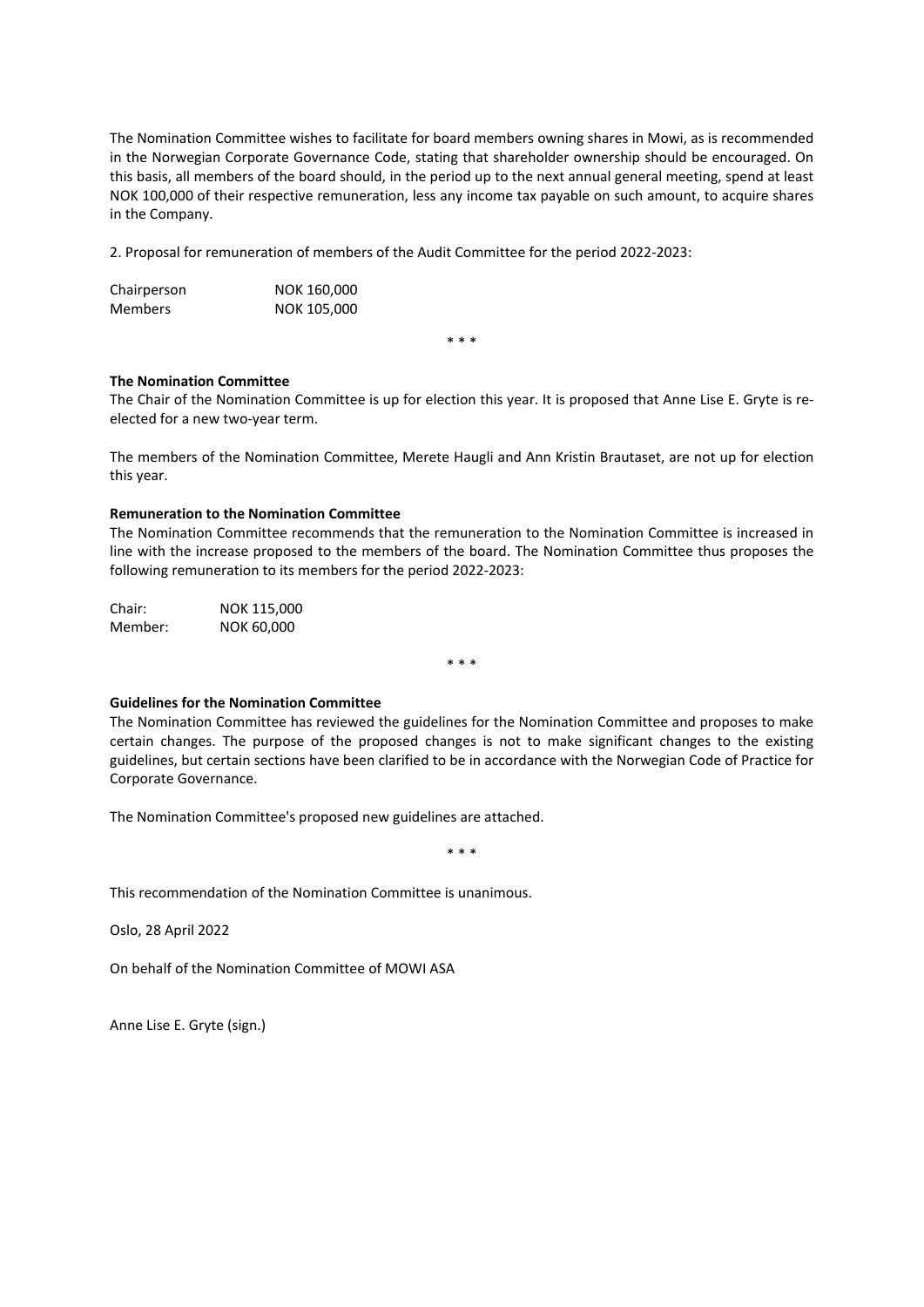The Nomination Committee wishes to facilitate for board members owning shares in Mowi, as is recommended in the Norwegian Corporate Governance Code, stating that shareholder ownership should be encouraged. On this basis, all members of the board should, in the period up to the next annual general meeting, spend at least NOK 100,000 of their respective remuneration, less any income tax payable on such amount, to acquire shares in the Company.

2. Proposal for remuneration of members of the Audit Committee for the period 2022‐2023:

| Chairperson    | NOK 160,000 |
|----------------|-------------|
| <b>Members</b> | NOK 105,000 |

\* \* \*

#### **The Nomination Committee**

The Chair of the Nomination Committee is up for election this year. It is proposed that Anne Lise E. Gryte is re‐ elected for a new two‐year term.

The members of the Nomination Committee, Merete Haugli and Ann Kristin Brautaset, are not up for election this year.

#### **Remuneration to the Nomination Committee**

The Nomination Committee recommends that the remuneration to the Nomination Committee is increased in line with the increase proposed to the members of the board. The Nomination Committee thus proposes the following remuneration to its members for the period 2022‐2023:

Chair: NOK 115,000 Member: NOK 60,000

\* \* \*

#### **Guidelines for the Nomination Committee**

The Nomination Committee has reviewed the guidelines for the Nomination Committee and proposes to make certain changes. The purpose of the proposed changes is not to make significant changes to the existing guidelines, but certain sections have been clarified to be in accordance with the Norwegian Code of Practice for Corporate Governance.

The Nomination Committee's proposed new guidelines are attached.

\* \* \*

This recommendation of the Nomination Committee is unanimous.

Oslo, 28 April 2022

On behalf of the Nomination Committee of MOWI ASA

Anne Lise E. Gryte (sign.)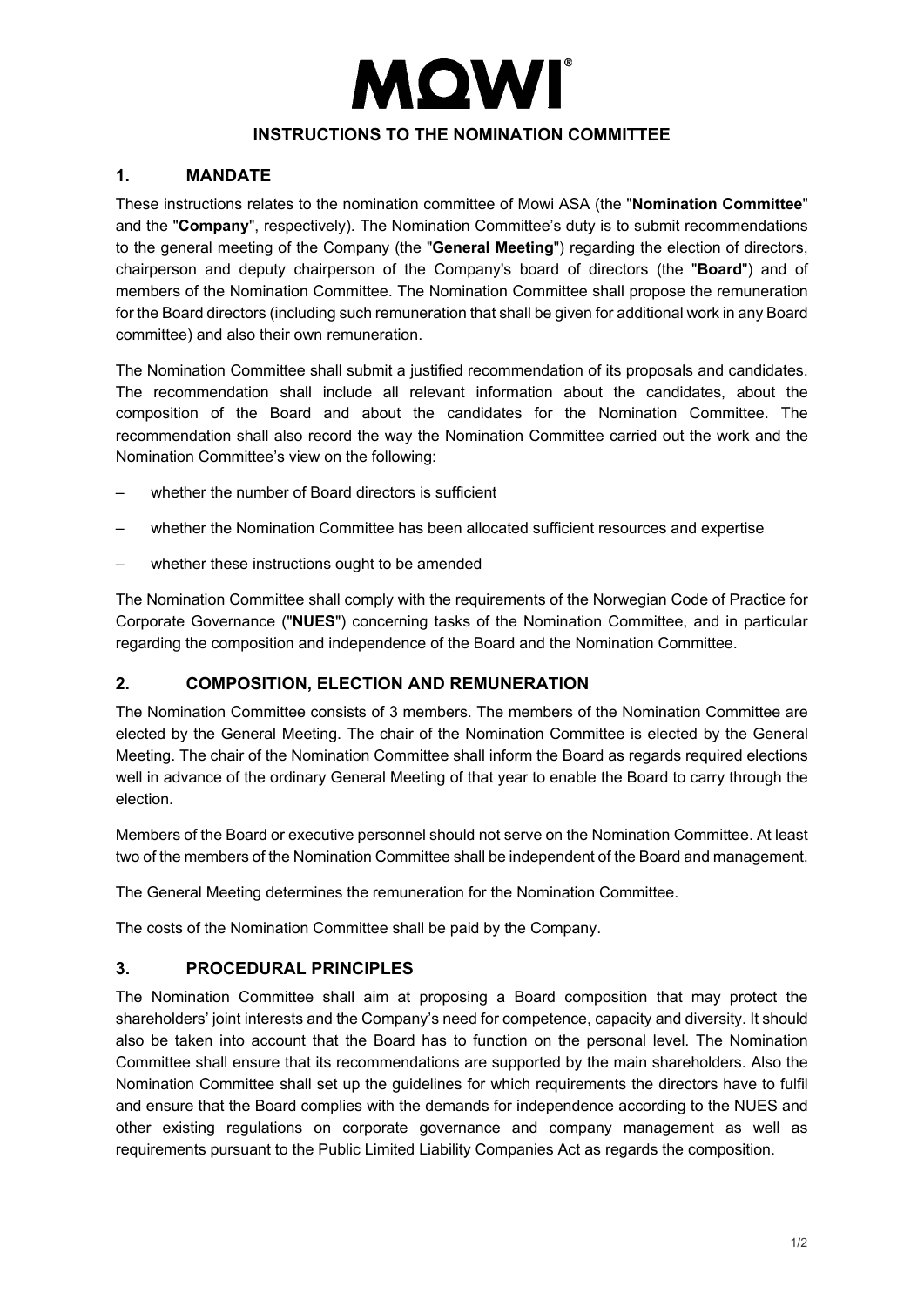# **MQWI**

# **INSTRUCTIONS TO THE NOMINATION COMMITTEE**

# **1. MANDATE**

These instructions relates to the nomination committee of Mowi ASA (the "**Nomination Committee**" and the "**Company**", respectively). The Nomination Committee's duty is to submit recommendations to the general meeting of the Company (the "**General Meeting**") regarding the election of directors, chairperson and deputy chairperson of the Company's board of directors (the "**Board**") and of members of the Nomination Committee. The Nomination Committee shall propose the remuneration for the Board directors (including such remuneration that shall be given for additional work in any Board committee) and also their own remuneration.

The Nomination Committee shall submit a justified recommendation of its proposals and candidates. The recommendation shall include all relevant information about the candidates, about the composition of the Board and about the candidates for the Nomination Committee. The recommendation shall also record the way the Nomination Committee carried out the work and the Nomination Committee's view on the following:

- whether the number of Board directors is sufficient
- whether the Nomination Committee has been allocated sufficient resources and expertise
- whether these instructions ought to be amended

The Nomination Committee shall comply with the requirements of the Norwegian Code of Practice for Corporate Governance ("**NUES**") concerning tasks of the Nomination Committee, and in particular regarding the composition and independence of the Board and the Nomination Committee.

# **2. COMPOSITION, ELECTION AND REMUNERATION**

The Nomination Committee consists of 3 members. The members of the Nomination Committee are elected by the General Meeting. The chair of the Nomination Committee is elected by the General Meeting. The chair of the Nomination Committee shall inform the Board as regards required elections well in advance of the ordinary General Meeting of that year to enable the Board to carry through the election.

Members of the Board or executive personnel should not serve on the Nomination Committee. At least two of the members of the Nomination Committee shall be independent of the Board and management.

The General Meeting determines the remuneration for the Nomination Committee.

The costs of the Nomination Committee shall be paid by the Company.

# **3. PROCEDURAL PRINCIPLES**

The Nomination Committee shall aim at proposing a Board composition that may protect the shareholders' joint interests and the Company's need for competence, capacity and diversity. It should also be taken into account that the Board has to function on the personal level. The Nomination Committee shall ensure that its recommendations are supported by the main shareholders. Also the Nomination Committee shall set up the guidelines for which requirements the directors have to fulfil and ensure that the Board complies with the demands for independence according to the NUES and other existing regulations on corporate governance and company management as well as requirements pursuant to the Public Limited Liability Companies Act as regards the composition.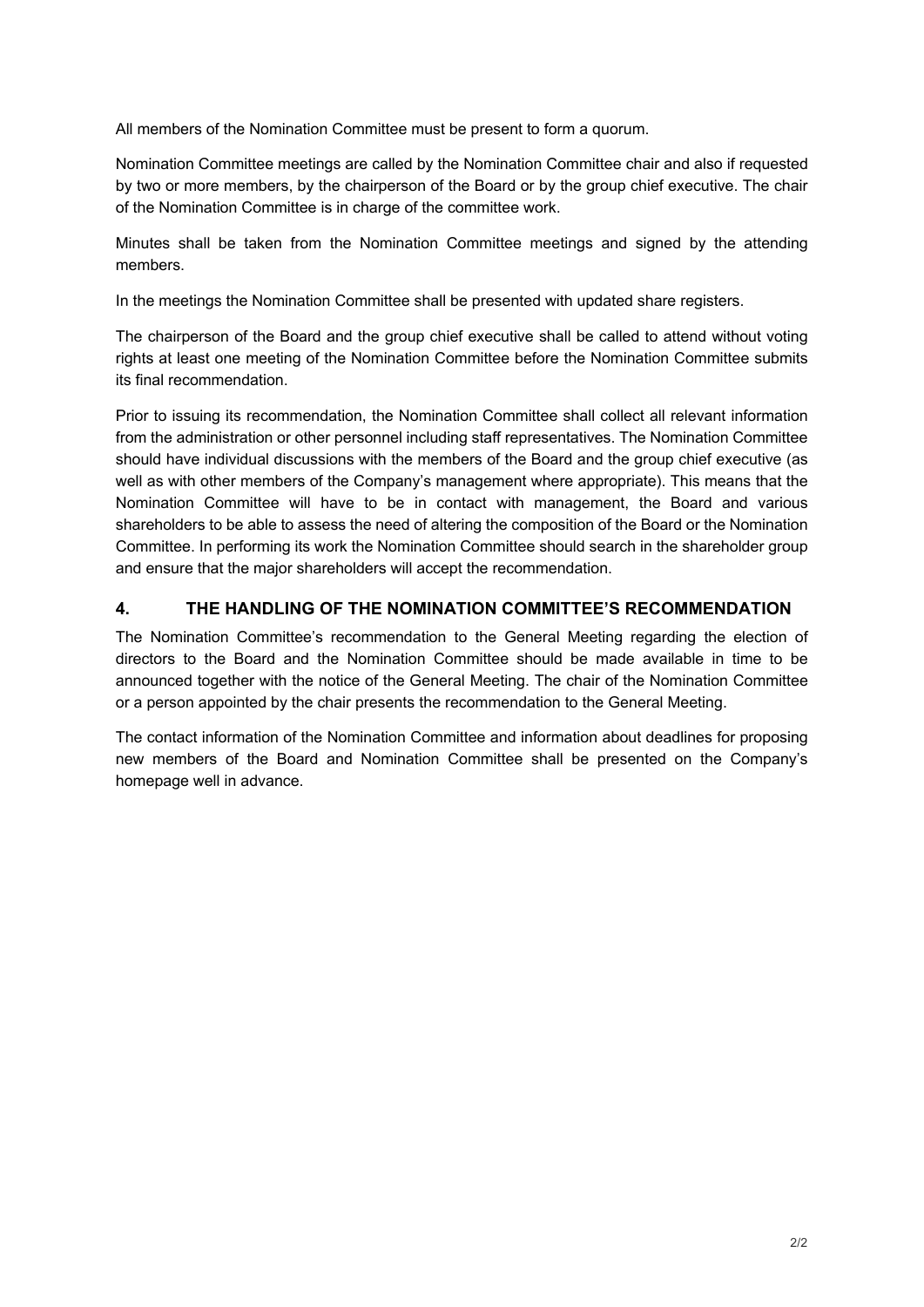All members of the Nomination Committee must be present to form a quorum.

Nomination Committee meetings are called by the Nomination Committee chair and also if requested by two or more members, by the chairperson of the Board or by the group chief executive. The chair of the Nomination Committee is in charge of the committee work.

Minutes shall be taken from the Nomination Committee meetings and signed by the attending members.

In the meetings the Nomination Committee shall be presented with updated share registers.

The chairperson of the Board and the group chief executive shall be called to attend without voting rights at least one meeting of the Nomination Committee before the Nomination Committee submits its final recommendation.

Prior to issuing its recommendation, the Nomination Committee shall collect all relevant information from the administration or other personnel including staff representatives. The Nomination Committee should have individual discussions with the members of the Board and the group chief executive (as well as with other members of the Company's management where appropriate). This means that the Nomination Committee will have to be in contact with management, the Board and various shareholders to be able to assess the need of altering the composition of the Board or the Nomination Committee. In performing its work the Nomination Committee should search in the shareholder group and ensure that the major shareholders will accept the recommendation.

# **4. THE HANDLING OF THE NOMINATION COMMITTEE'S RECOMMENDATION**

The Nomination Committee's recommendation to the General Meeting regarding the election of directors to the Board and the Nomination Committee should be made available in time to be announced together with the notice of the General Meeting. The chair of the Nomination Committee or a person appointed by the chair presents the recommendation to the General Meeting.

The contact information of the Nomination Committee and information about deadlines for proposing new members of the Board and Nomination Committee shall be presented on the Company's homepage well in advance.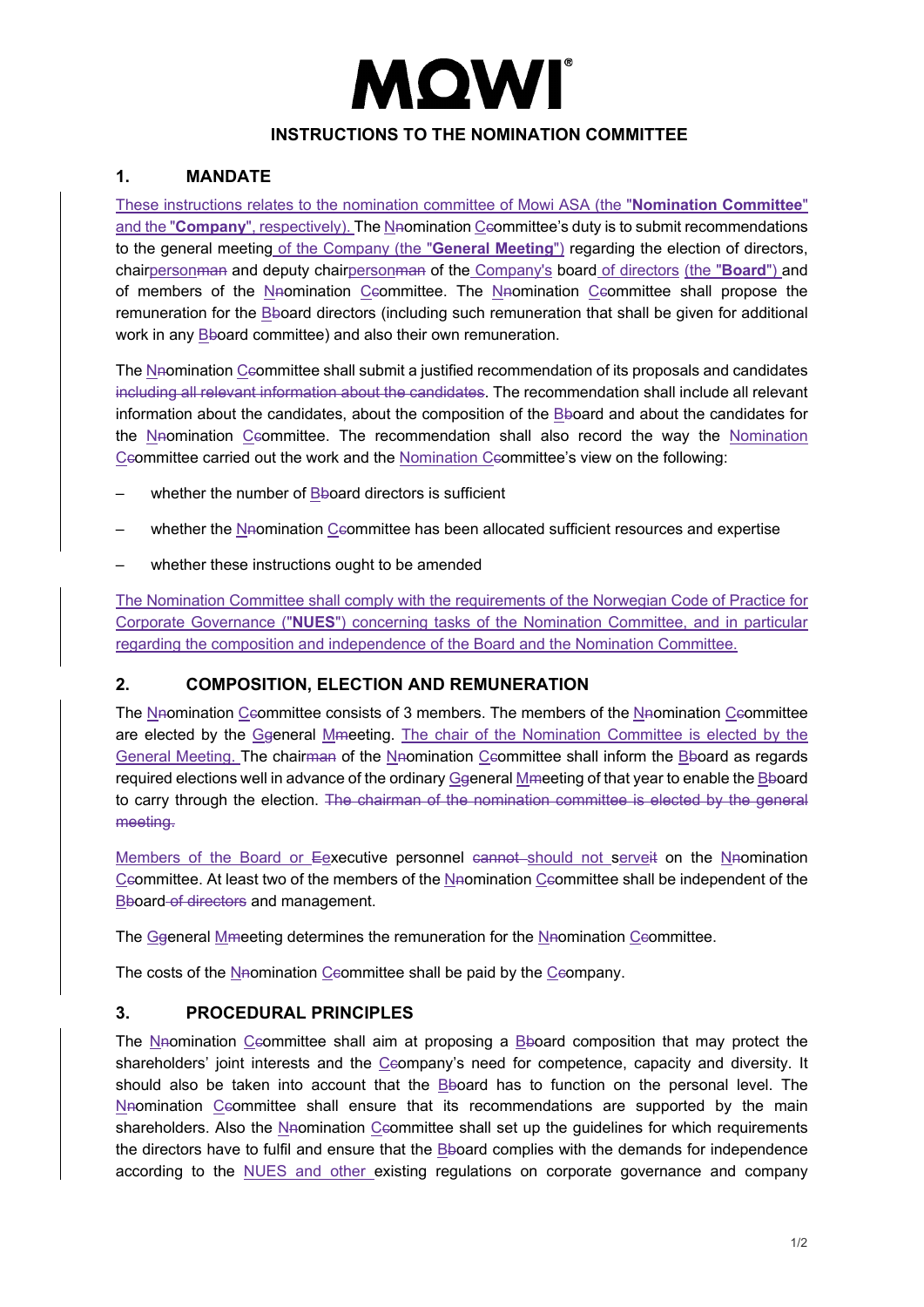# MQWI

# **INSTRUCTIONS TO THE NOMINATION COMMITTEE**

# **1. MANDATE**

These instructions relates to the nomination committee of Mowi ASA (the "**Nomination Committee**" and the "**Company**", respectively). The N<sub>n</sub>omination Ceommittee's duty is to submit recommendations to the general meeting of the Company (the "**General Meeting**") regarding the election of directors, chairpersonman and deputy chairpersonman of the Company's board of directors (the "**Board**") and of members of the Nnomination Ccommittee. The Nnomination Ccommittee shall propose the remuneration for the Bboard directors (including such remuneration that shall be given for additional work in any Bboard committee) and also their own remuneration.

The Neomination Ceommittee shall submit a justified recommendation of its proposals and candidates including all relevant information about the candidates. The recommendation shall include all relevant information about the candidates, about the composition of the Bboard and about the candidates for the Nnomination Ccommittee. The recommendation shall also record the way the Nomination Ccommittee carried out the work and the Nomination Ccommittee's view on the following:

- whether the number of  $\frac{B}{2}$ board directors is sufficient
- whether the Nnomination Ceommittee has been allocated sufficient resources and expertise
- whether these instructions ought to be amended

The Nomination Committee shall comply with the requirements of the Norwegian Code of Practice for Corporate Governance ("**NUES**") concerning tasks of the Nomination Committee, and in particular regarding the composition and independence of the Board and the Nomination Committee.

# **2. COMPOSITION, ELECTION AND REMUNERATION**

The Naomination Ceommittee consists of 3 members. The members of the Naomination Ceommittee are elected by the Ggeneral Mmeeting. The chair of the Nomination Committee is elected by the General Meeting. The chairman of the Nnomination Ccommittee shall inform the Bboard as regards required elections well in advance of the ordinary Ggeneral Mmeeting of that year to enable the Bboard to carry through the election. The chairman of the nomination committee is elected by the general meeting.

Members of the Board or Eexecutive personnel cannot should not serveit on the Nnomination Ccommittee. At least two of the members of the Nnomination Ccommittee shall be independent of the Bboard of directors and management.

The Ggeneral Mmeeting determines the remuneration for the Nnomination Ceommittee.

The costs of the Naomination Ceommittee shall be paid by the Ceompany.

# **3. PROCEDURAL PRINCIPLES**

The Nnomination Ceommittee shall aim at proposing a Bboard composition that may protect the shareholders' joint interests and the Ceompany's need for competence, capacity and diversity. It should also be taken into account that the Bboard has to function on the personal level. The Naomination Ceommittee shall ensure that its recommendations are supported by the main shareholders. Also the Nnomination Ceommittee shall set up the guidelines for which requirements the directors have to fulfil and ensure that the Bboard complies with the demands for independence according to the NUES and other existing regulations on corporate governance and company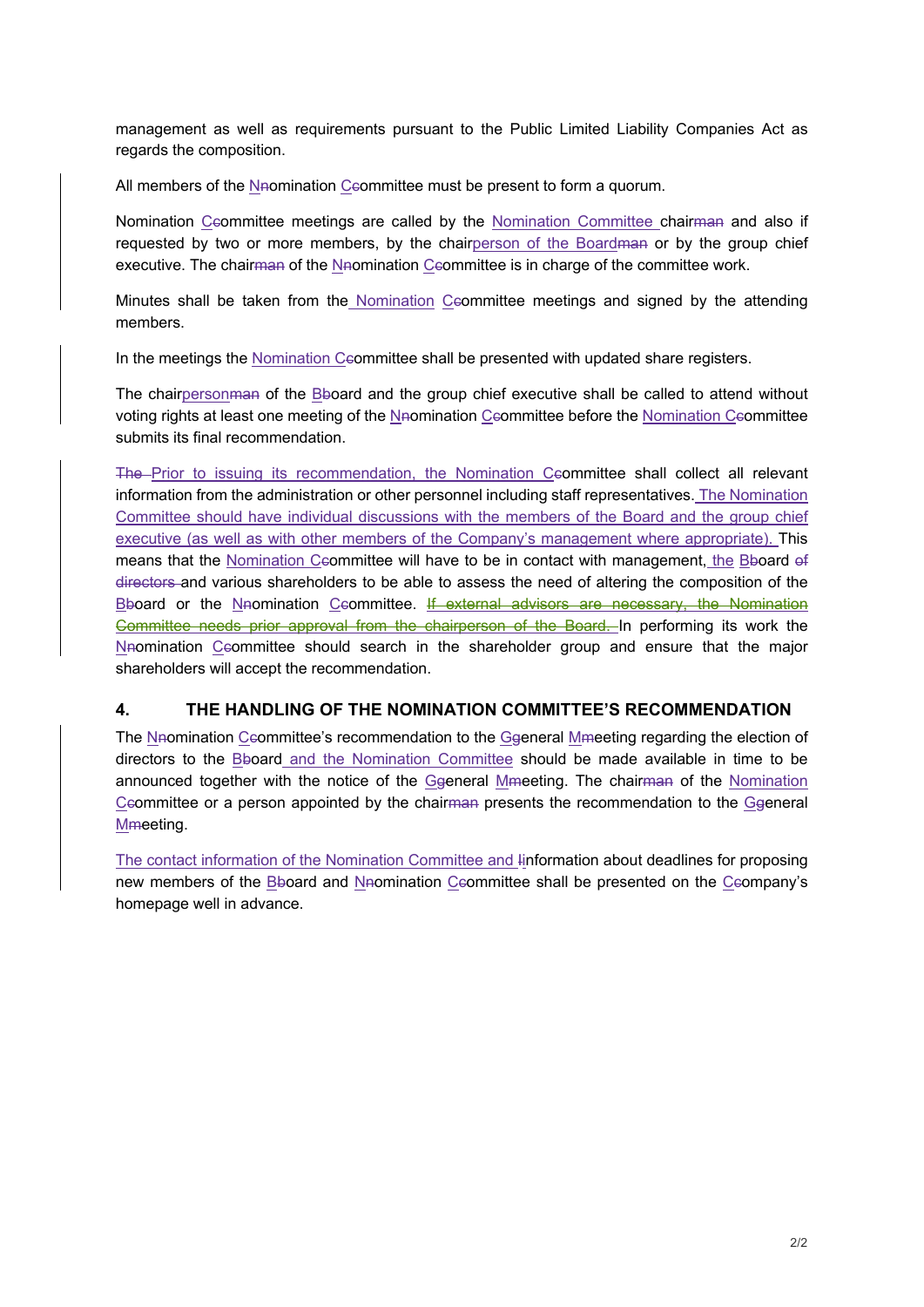management as well as requirements pursuant to the Public Limited Liability Companies Act as regards the composition.

All members of the N<sub>n</sub>omination Ceommittee must be present to form a quorum.

Nomination Ceommittee meetings are called by the Nomination Committee chairman and also if requested by two or more members, by the chairperson of the Boardman or by the group chief executive. The chairman of the Nnomination Ceommittee is in charge of the committee work.

Minutes shall be taken from the Nomination Ccommittee meetings and signed by the attending members.

In the meetings the Nomination Ceommittee shall be presented with updated share registers.

The chairpersonman of the Bboard and the group chief executive shall be called to attend without voting rights at least one meeting of the Nnomination Ccommittee before the Nomination Ccommittee submits its final recommendation.

The Prior to issuing its recommendation, the Nomination Ceommittee shall collect all relevant information from the administration or other personnel including staff representatives. The Nomination Committee should have individual discussions with the members of the Board and the group chief executive (as well as with other members of the Company's management where appropriate). This means that the Nomination Ceommittee will have to be in contact with management, the Bboard of directors and various shareholders to be able to assess the need of altering the composition of the Bboard or the Nnomination Ccommittee. If external advisors are necessary, the Nomination Committee needs prior approval from the chairperson of the Board. In performing its work the Nnomination Ceommittee should search in the shareholder group and ensure that the major shareholders will accept the recommendation.

# **4. THE HANDLING OF THE NOMINATION COMMITTEE'S RECOMMENDATION**

The Nnomination Ceommittee's recommendation to the Ggeneral Mmeeting regarding the election of directors to the Bboard and the Nomination Committee should be made available in time to be announced together with the notice of the Ggeneral Mmeeting. The chairman of the Nomination Ceommittee or a person appointed by the chairman presents the recommendation to the Ggeneral Mmeeting.

The contact information of the Nomination Committee and Iinformation about deadlines for proposing new members of the Bboard and Nnomination Ceommittee shall be presented on the Ceompany's homepage well in advance.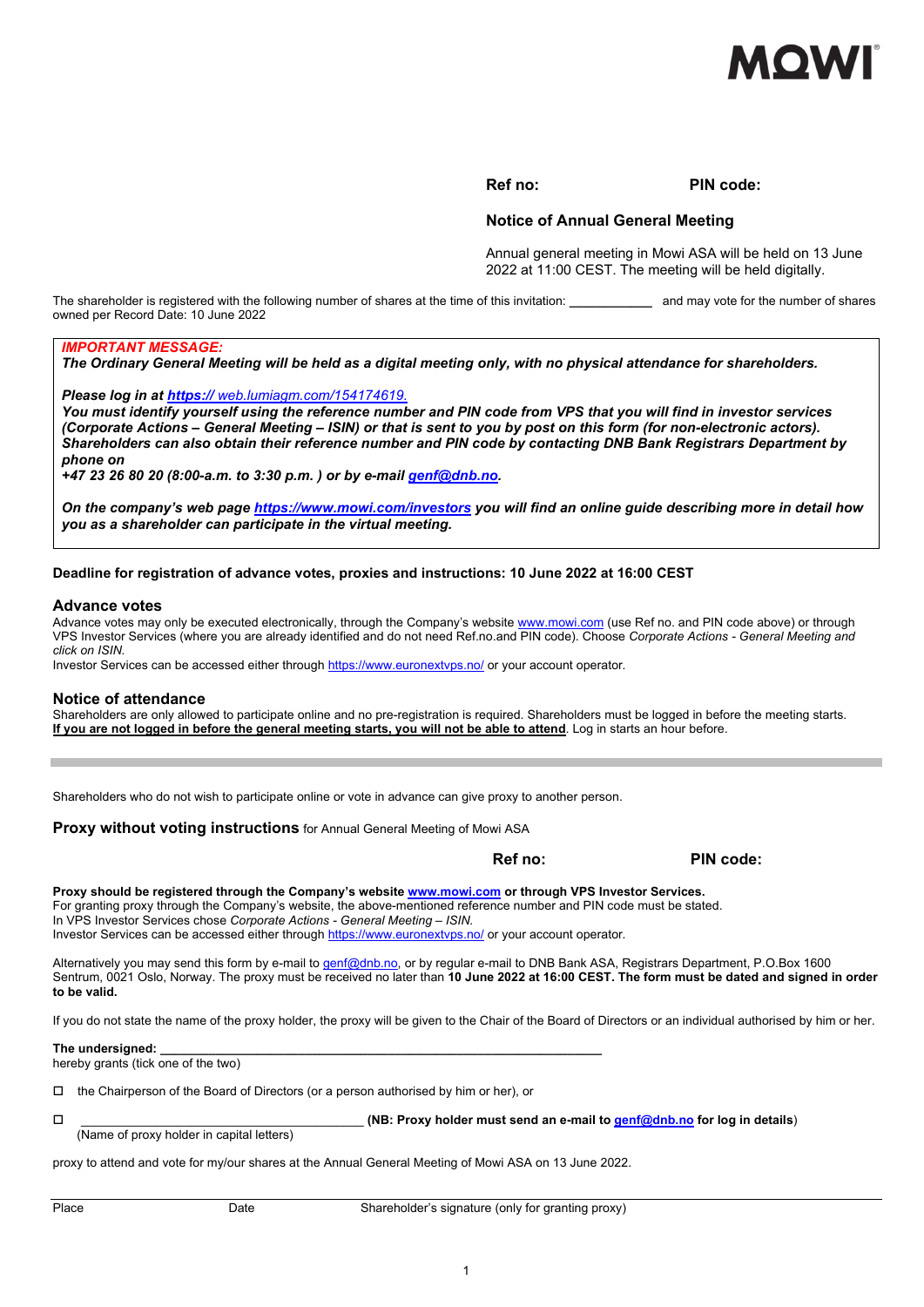

#### **Ref no: PIN code:**

#### **Notice of Annual General Meeting**

Annual general meeting in Mowi ASA will be held on 13 June 2022 at 11:00 CEST. The meeting will be held digitally.

The shareholder is registered with the following number of shares at the time of this invitation: and may vote for the number of shares owned per Record Date: 10 June 2022

#### *IMPORTANT MESSAGE:*

*The Ordinary General Meeting will be held as a digital meeting only, with no physical attendance for shareholders.* 

*Please log in at https:// web.lumiagm.com/154174619.*

*You must identify yourself using the reference number and PIN code from VPS that you will find in investor services (Corporate Actions – General Meeting – ISIN) or that is sent to you by post on this form (for non-electronic actors). Shareholders can also obtain their reference number and PIN code by contacting DNB Bank Registrars Department by phone on* 

*+47 23 26 80 20 (8:00-a.m. to 3:30 p.m. ) or by e-mail genf@dnb.no.* 

*On the company's web page https://www.mowi.com/investors you will find an online guide describing more in detail how you as a shareholder can participate in the virtual meeting.* 

#### **Deadline for registration of advance votes, proxies and instructions: 10 June 2022 at 16:00 CEST**

#### **Advance votes**

Advance votes may only be executed electronically, through the Company's website www.mowi.com (use Ref no. and PIN code above) or through VPS Investor Services (where you are already identified and do not need Ref.no.and PIN code). Choose *Corporate Actions - General Meeting and click on ISIN.*

Investor Services can be accessed either through https://www.euronextvps.no/ or your account operator*.*

#### **Notice of attendance**

Shareholders are only allowed to participate online and no pre-registration is required. Shareholders must be logged in before the meeting starts. **If you are not logged in before the general meeting starts, you will not be able to attend**. Log in starts an hour before.

Shareholders who do not wish to participate online or vote in advance can give proxy to another person.

**Proxy without voting instructions** for Annual General Meeting of Mowi ASA

**Ref no:** PIN code:

**Proxy should be registered through the Company's website www.mowi.com or through VPS Investor Services.**  For granting proxy through the Company's website, the above-mentioned reference number and PIN code must be stated. In VPS Investor Services chose *Corporate Actions - General Meeting – ISIN.*

Investor Services can be accessed either through https://www.euronextvps.no/ or your account operator*.*

Alternatively you may send this form by e-mail to genf@dnb.no, or by regular e-mail to DNB Bank ASA, Registrars Department, P.O.Box 1600 Sentrum, 0021 Oslo, Norway. The proxy must be received no later than **10 June 2022 at 16:00 CEST. The form must be dated and signed in order to be valid.**

If you do not state the name of the proxy holder, the proxy will be given to the Chair of the Board of Directors or an individual authorised by him or her.

#### **The undersigned:**

hereby grants (tick one of the two)

 $\Box$  the Chairperson of the Board of Directors (or a person authorised by him or her), or

(Name of proxy holder in capital letters)

\_\_\_\_\_\_\_\_\_\_\_\_\_\_\_\_\_\_\_\_\_\_\_\_\_\_\_\_\_\_\_\_\_\_\_\_\_\_\_\_\_ **(NB: Proxy holder must send an e-mail to genf@dnb.no for log in details**)

proxy to attend and vote for my/our shares at the Annual General Meeting of Mowi ASA on 13 June 2022.

Place **Date** Date Shareholder's signature (only for granting proxy)